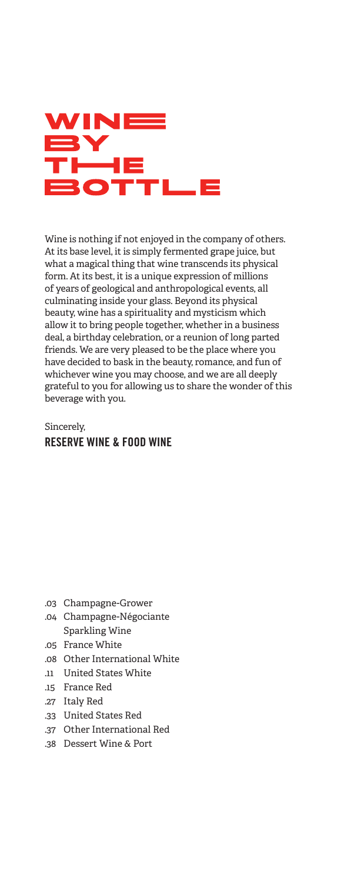

Wine is nothing if not enjoyed in the company of others. At its base level, it is simply fermented grape juice, but what a magical thing that wine transcends its physical form. At its best, it is a unique expression of millions of years of geological and anthropological events, all culminating inside your glass. Beyond its physical beauty, wine has a spirituality and mysticism which allow it to bring people together, whether in a business deal, a birthday celebration, or a reunion of long parted friends. We are very pleased to be the place where you have decided to bask in the beauty, romance, and fun of whichever wine you may choose, and we are all deeply grateful to you for allowing us to share the wonder of this beverage with you.

#### Sincerely, RESERVE WINE & FOOD WINE

- .03 Champagne-Grower
- .04 Champagne-Négociante Sparkling Wine
- .05 France White
- .08 Other International White
- .11 United States White
- .15 France Red
- .27 Italy Red
- .33 United States Red
- .37 Other International Red
- .38 Dessert Wine & Port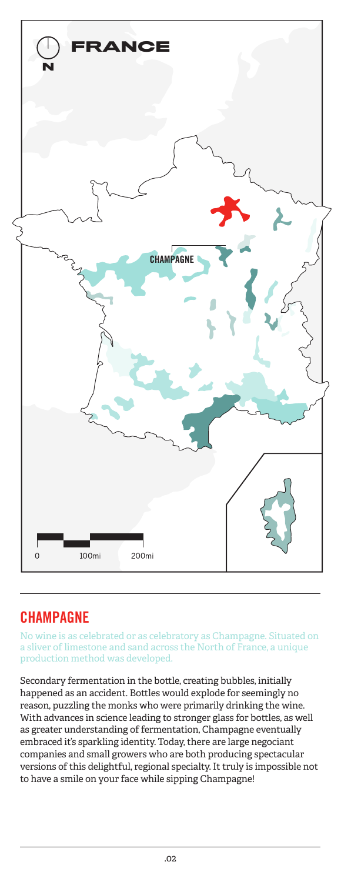

## **CHAMPAGNE**

No wine is as celebrated or as celebratory as Champagne. Situated on a sliver of limestone and sand across the North of France, a unique production method was developed.

Secondary fermentation in the bottle, creating bubbles, initially happened as an accident. Bottles would explode for seemingly no reason, puzzling the monks who were primarily drinking the wine. With advances in science leading to stronger glass for bottles, as well as greater understanding of fermentation, Champagne eventually embraced it's sparkling identity. Today, there are large negociant companies and small growers who are both producing spectacular versions of this delightful, regional specialty. It truly is impossible not to have a smile on your face while sipping Champagne!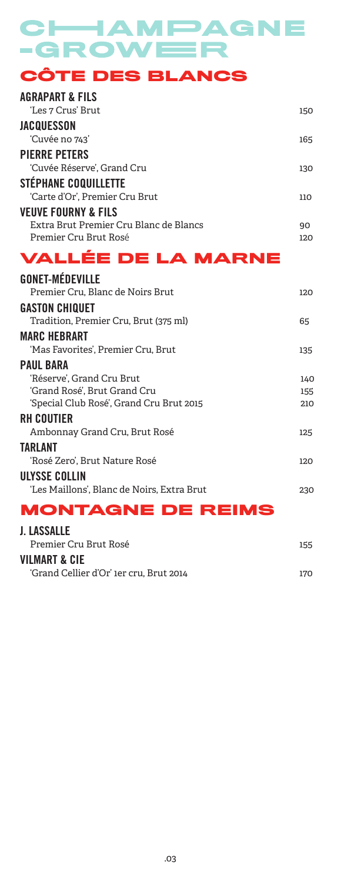# CHAMPAGNE **-GROWEER**

**CÔTE DES BLANCS**

| <b>AGRAPART &amp; FILS</b><br>'Les 7 Crus' Brut | 150 |
|-------------------------------------------------|-----|
| <b>JACQUESSON</b>                               |     |
| 'Cuvée no 743'                                  | 165 |
| <b>PIERRE PETERS</b>                            |     |
| 'Cuvée Réserve'. Grand Cru                      | 130 |
| <b>STÉPHANE COQUILLETTE</b>                     |     |
| 'Carte d'Or'. Premier Cru Brut                  | 110 |
| <b>VEUVE FOURNY &amp; FILS</b>                  |     |
| Extra Brut Premier Cru Blanc de Blancs          | 90  |
| Premier Cru Brut Rosé                           | 120 |
| <b>VALLÉE DE LA MARNE</b>                       |     |

| <b>GONET-MÉDEVILLE</b>                     |     |
|--------------------------------------------|-----|
| Premier Cru, Blanc de Noirs Brut           | 120 |
| <b>GASTON CHIQUET</b>                      |     |
| Tradition, Premier Cru, Brut (375 ml)      | 65  |
| <b>MARC HEBRART</b>                        |     |
| 'Mas Favorites', Premier Cru, Brut         | 135 |
| <b>PAUL BARA</b>                           |     |
| 'Réserve', Grand Cru Brut                  | 140 |
| 'Grand Rosé', Brut Grand Cru               | 155 |
| 'Special Club Rosé', Grand Cru Brut 2015   | 210 |
| <b>RH COUTIER</b>                          |     |
| Ambonnay Grand Cru, Brut Rosé              | 125 |
| TARLANT                                    |     |
| 'Rosé Zero', Brut Nature Rosé              | 120 |
| ULYSSE COLLIN                              |     |
| 'Les Maillons'. Blanc de Noirs. Extra Brut | 230 |
| <b>MONTAGNE DE REIMS</b>                   |     |

## J. LASSALLE

| Premier Cru Brut Rosé                   | 155 |
|-----------------------------------------|-----|
| <b>VILMART &amp; CIE</b>                |     |
| 'Grand Cellier d'Or' 1er cru, Brut 2014 | 170 |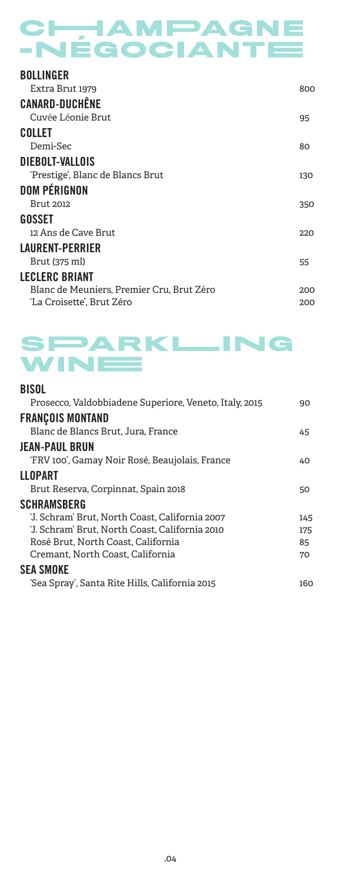# CHAMPAGNE -NÉGOCIANTE

| <b>BOLLINGER</b>                          |     |
|-------------------------------------------|-----|
| Extra Brut 1979                           | 800 |
| <b>CANARD-DUCHÊNE</b>                     |     |
| Cuvée Léonie Brut                         | 95  |
| COLLET                                    |     |
| Demi-Sec                                  | 80  |
| DIEBOLT-VALLOIS                           |     |
| 'Prestige', Blanc de Blancs Brut          | 130 |
| <b>DOM PÉRIGNON</b>                       |     |
| <b>Brut 2012</b>                          | 350 |
| GOSSET                                    |     |
| 12 Ans de Cave Brut                       | 220 |
| <b>LAURENT-PERRIER</b>                    |     |
| Brut (375 ml)                             | 55  |
| <b>LECLERC BRIANT</b>                     |     |
| Blanc de Meuniers, Premier Cru, Brut Zéro | 200 |
| 'La Croisette', Brut Zéro                 | 200 |



#### BISOL

| Prosecco, Valdobbiadene Superiore, Veneto, Italy, 2015 | 90  |
|--------------------------------------------------------|-----|
| <b>FRANÇOIS MONTAND</b>                                |     |
| Blanc de Blancs Brut, Jura, France                     | 45  |
| <b>JEAN-PAUL BRUN</b>                                  |     |
| 'FRV 100', Gamay Noir Rosé, Beaujolais, France         | 40  |
| <b>LLOPART</b>                                         |     |
| Brut Reserva, Corpinnat, Spain 2018                    | 50  |
| <b>SCHRAMSBERG</b>                                     |     |
| 'J. Schram' Brut. North Coast. California 2007         | 145 |
| 'J. Schram' Brut, North Coast, California 2010         | 175 |
| Rosé Brut, North Coast, California                     | 85  |
| Cremant, North Coast, California                       | 70  |
| <b>SEA SMOKE</b>                                       |     |
| 'Sea Spray', Santa Rite Hills, California 2015         | 160 |
|                                                        |     |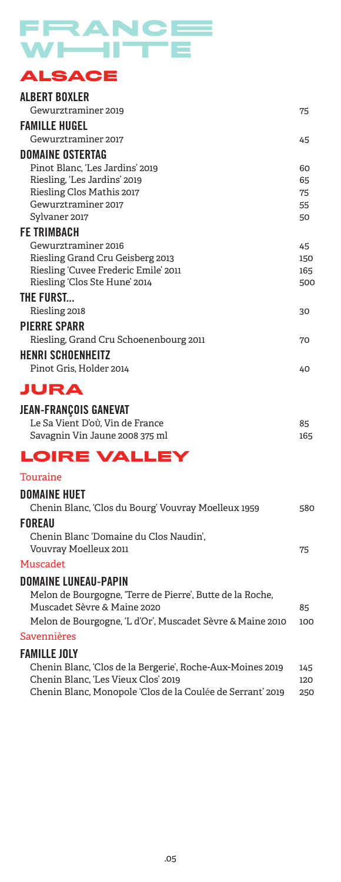# FRANCE

## **ALSACE**

| ALBERT BOXLER                          |     |
|----------------------------------------|-----|
| Gewurztraminer 2019                    | 75  |
| <b>FAMILLE HUGEL</b>                   |     |
| Gewurztraminer 2017                    | 45  |
| <b>DOMAINE OSTERTAG</b>                |     |
| Pinot Blanc, 'Les Jardins' 2019        | 60  |
| Riesling, 'Les Jardins' 2019           | 65  |
| Riesling Clos Mathis 2017              | 75  |
| Gewurztraminer 2017                    | 55  |
| Sylvaner 2017                          | 50  |
| <b>FE TRIMBACH</b>                     |     |
| Gewurztraminer 2016                    | 45  |
| Riesling Grand Cru Geisberg 2013       | 150 |
| Riesling 'Cuvee Frederic Emile' 2011   | 165 |
| Riesling 'Clos Ste Hune' 2014          | 500 |
| THE FURST                              |     |
| Riesling 2018                          | 30  |
| <b>PIERRE SPARR</b>                    |     |
| Riesling, Grand Cru Schoenenbourg 2011 | 70  |

#### HENRI SCHOENHEITZ Pinot Gris, Holder 2014 40

#### **JURA**

#### JEAN-FRANÇOIS GANEVAT

| Le Sa Vient D'où. Vin de France | 85  |
|---------------------------------|-----|
| Savagnin Vin Jaune 2008 375 ml  | 165 |

### **LOIRE VALLEY**

#### Touraine

| <b>DOMAINE HUET</b>                                       |     |
|-----------------------------------------------------------|-----|
| Chenin Blanc, 'Clos du Bourg' Vouvray Moelleux 1959       | 580 |
| FOREAU                                                    |     |
| Chenin Blanc 'Domaine du Clos Naudin',                    |     |
| Vouvray Moelleux 2011                                     | 75  |
| Muscadet                                                  |     |
| <b>DOMAINE LUNEAU-PAPIN</b>                               |     |
| Melon de Bourgogne, 'Terre de Pierre', Butte de la Roche, |     |
| Muscadet Sèvre & Maine 2020                               | 85  |
| Melon de Bourgogne, 'L d'Or', Muscadet Sèvre & Maine 2010 | 100 |

#### Savennières

#### FAMILLE JOLY

| Chenin Blanc, 'Clos de la Bergerie', Roche-Aux-Moines 2019 | 145 |
|------------------------------------------------------------|-----|
| Chenin Blanc, 'Les Vieux Clos' 2019                        | 120 |
| Chenin Blanc, Monopole 'Clos de la Coulée de Serrant' 2019 | 250 |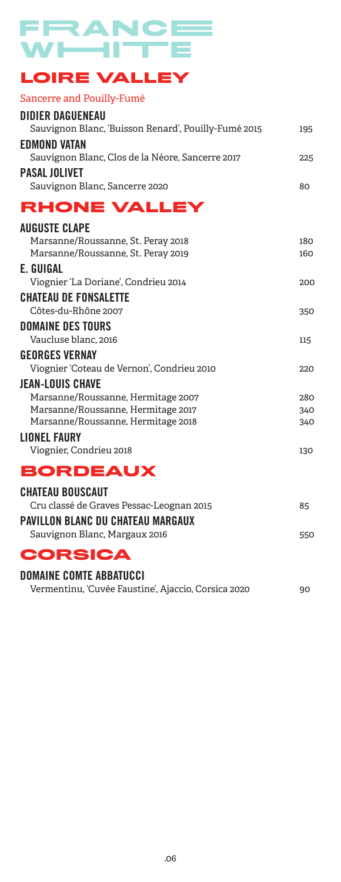#### FRAN **Contract** C — r **LOIRE VALLEY**

#### Sancerre and Pouilly-Fumé

| <b>DIDIER DAGUENEAU</b>                                                  |            |
|--------------------------------------------------------------------------|------------|
| Sauvignon Blanc, 'Buisson Renard', Pouilly-Fumé 2015                     | 195        |
| <b>EDMOND VATAN</b>                                                      |            |
| Sauvignon Blanc, Clos de la Néore, Sancerre 2017                         | 225        |
| <b>PASAL JOLIVET</b>                                                     |            |
| Sauvignon Blanc, Sancerre 2020                                           | 80         |
| RHONE VALLEY                                                             |            |
| <b>AUGUSTE CLAPE</b>                                                     |            |
| Marsanne/Roussanne, St. Peray 2018                                       | 180        |
| Marsanne/Roussanne, St. Peray 2019                                       | 160        |
| E. GUIGAL                                                                |            |
| Viognier 'La Doriane', Condrieu 2014                                     | 200        |
| <b>CHATEAU DE FONSALETTE</b>                                             |            |
| Côtes-du-Rhône 2007                                                      | 350        |
| <b>DOMAINE DES TOURS</b>                                                 |            |
| Vaucluse blanc, 2016                                                     | 115        |
| <b>GEORGES VERNAY</b>                                                    |            |
| Viognier 'Coteau de Vernon', Condrieu 2010                               | 220        |
| <b>JEAN-LOUIS CHAVE</b>                                                  |            |
| Marsanne/Roussanne, Hermitage 2007<br>Marsanne/Roussanne, Hermitage 2017 | 280<br>340 |
| Marsanne/Roussanne, Hermitage 2018                                       | 340        |
| <b>LIONEL FAURY</b>                                                      |            |
| Viognier, Condrieu 2018                                                  | 130        |
| <b>BORDEAUX</b>                                                          |            |
| <b>CHATEAU BOUSCAUT</b>                                                  |            |
| Cru classé de Graves Pessac-Leognan 2015                                 | 85         |
| <b>PAVILLON BLANC DU CHATEAU MARGAUX</b>                                 |            |
| Sauvignon Blanc, Margaux 2016                                            | 550        |
| <b>CORSICA</b>                                                           |            |
| <b>DOMAINE COMTE ABBATUCCI</b>                                           |            |
| Vermentinu, 'Cuvée Faustine', Ajaccio, Corsica 2020                      | 90         |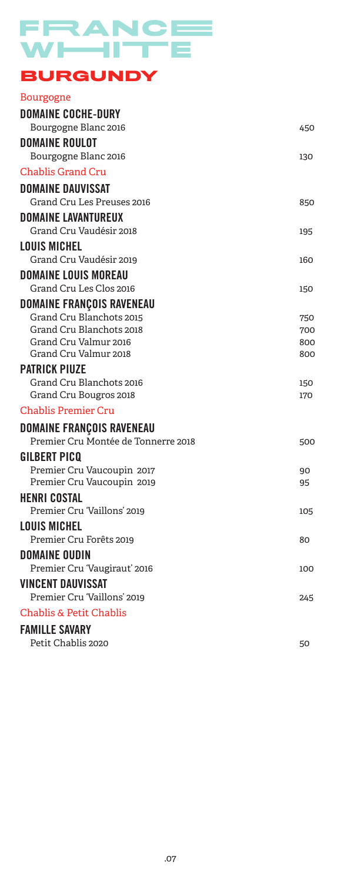## FRANCE WHITE **BURGUNDY**

| <b>Bourgogne</b>                               |            |
|------------------------------------------------|------------|
| <b>DOMAINE COCHE-DURY</b>                      |            |
| Bourgogne Blanc 2016                           | 450        |
| <b>DOMAINE ROULOT</b>                          |            |
| Bourgogne Blanc 2016                           | 130        |
| <b>Chablis Grand Cru</b>                       |            |
| DOMAINE DAUVISSAT                              |            |
| Grand Cru Les Preuses 2016                     | 850        |
| <b>DOMAINE LAVANTUREUX</b>                     |            |
| Grand Cru Vaudésir 2018                        | 195        |
| LOUIS MICHEL                                   |            |
| Grand Cru Vaudésir 2019                        | 160        |
| <b>DOMAINE LOUIS MOREAU</b>                    |            |
| Grand Cru Les Clos 2016                        | 150        |
| <b>DOMAINE FRANÇOIS RAVENEAU</b>               |            |
| Grand Cru Blanchots 2015                       | 750        |
| Grand Cru Blanchots 2018                       | 700        |
| Grand Cru Valmur 2016<br>Grand Cru Valmur 2018 | 800<br>800 |
| <b>PATRICK PIUZE</b>                           |            |
| Grand Cru Blanchots 2016                       | 150        |
| Grand Cru Bougros 2018                         | 170        |
| <b>Chablis Premier Cru</b>                     |            |
| <b>DOMAINE FRANÇOIS RAVENEAU</b>               |            |
| Premier Cru Montée de Tonnerre 2018            | 500        |
| GILBERT PICO                                   |            |
| Premier Cru Vaucoupin 2017                     | 90         |
| Premier Cru Vaucoupin 2019                     | 95         |
| <b>HENRI COSTAL</b>                            |            |
| Premier Cru 'Vaillons' 2019                    | 105        |
| LOUIS MICHEL                                   |            |
| Premier Cru Forêts 2019                        | 80         |
| <b>DOMAINE OUDIN</b>                           |            |
| Premier Cru 'Vaugiraut' 2016                   | 100        |
| VINCENT DAUVISSAT                              |            |
| Premier Cru 'Vaillons' 2019                    | 245        |
| Chablis & Petit Chablis                        |            |
| <b>FAMILLE SAVARY</b>                          |            |
| Petit Chablis 2020                             | 50         |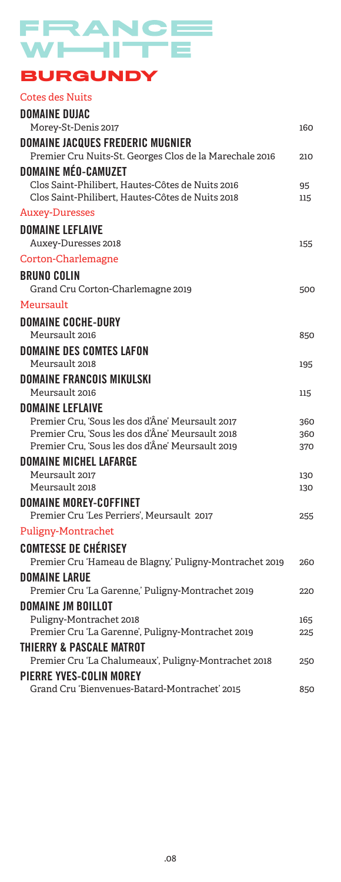# FRANCE **BURGUNDY**

#### Cotes des Nuits DOMAINE DUJAC Morey-St-Denis 2017 and the state of the state of the 160 methods of the 160  $\mu$ DOMAINE JACQUES FREDERIC MUGNIER Premier Cru Nuits-St. Georges Clos de la Marechale 2016 210 DOMAINE MÉO-CAMUZET Clos Saint-Philibert, Hautes-Côtes de Nuits 2016 95 Clos Saint-Philibert, Hautes-Côtes de Nuits 2018 115 Auxey-Duresses DOMAINE LEFLAIVE Auxey-Duresses 2018 155 Corton-Charlemagne BRUNO COLIN Grand Cru Corton-Charlemagne 2019 500 Meursault DOMAINE COCHE-DURY Meursault 2016 **850** DOMAINE DES COMTES LAFON Meursault 2018 DOMAINE FRANCOIS MIKULSKI Meursault 2016 DOMAINE LEFLAIVE Premier Cru, 'Sous les dos d'Âne' Meursault 2017 360 Premier Cru, 'Sous les dos d'Âne' Meursault 2018 360 Premier Cru, 'Sous les dos d'Âne' Meursault 2019 370 DOMAINE MICHEL LAFARGE Meursault 2017 **130** Meursault 2018 **130** DOMAINE MOREY-COFFINET Premier Cru 'Les Perriers', Meursault 2017 255 Puligny-Montrachet COMTESSE DE CHÉRISEY Premier Cru 'Hameau de Blagny,' Puligny-Montrachet 2019 260 DOMAINE LARUE Premier Cru 'La Garenne,' Puligny-Montrachet 2019 220 DOMAINE JM BOILLOT Puligny-Montrachet 2018 165 Premier Cru 'La Garenne', Puligny-Montrachet 2019 225 THIERRY & PASCALE MATROT Premier Cru 'La Chalumeaux', Puligny-Montrachet 2018 250 PIERRE YVES-COLIN MOREY

Grand Cru 'Bienvenues-Batard-Montrachet' 2015 850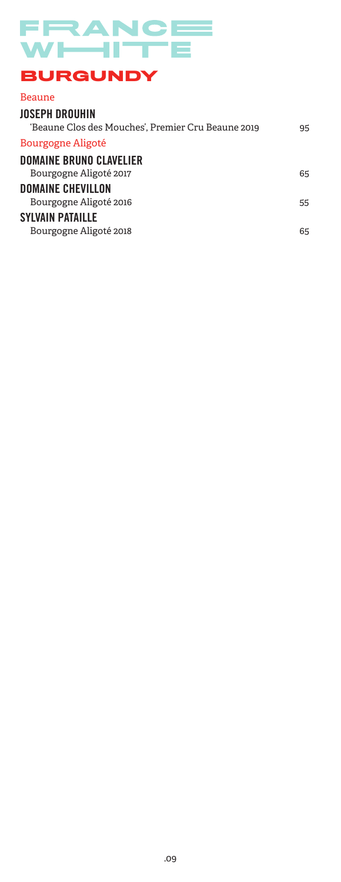#### FRANCE N/I I Ш **BURGUNDY**

#### Beaune JOSEPH DROUHIN 'Beaune Clos des Mouches', Premier Cru Beaune 2019 95 Bourgogne Aligoté DOMAINE BRUNO CLAVELIER Bourgogne Aligoté 2017 **65** DOMAINE CHEVILLON Bourgogne Aligoté 2016 **55** SYLVAIN PATAILLE Bourgogne Aligoté 2018 **65**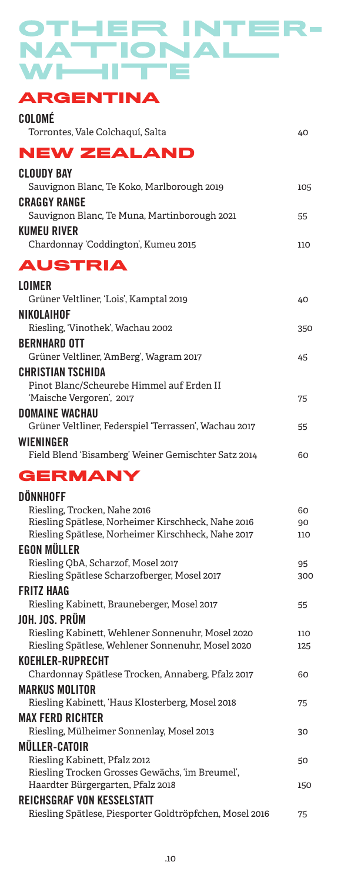# OTHER INTER-NATIONAL WHITE

## **ARGENTINA**

| COLOMÉ                                                                                                   |            |
|----------------------------------------------------------------------------------------------------------|------------|
| Torrontes, Vale Colchaquí, Salta                                                                         | 40         |
| <b>NEW ZEALAND</b>                                                                                       |            |
| <b>CLOUDY BAY</b><br>Sauvignon Blanc, Te Koko, Marlborough 2019                                          | 105        |
| <b>CRAGGY RANGE</b><br>Sauvignon Blanc, Te Muna, Martinborough 2021                                      | 55         |
| <b>KUMEU RIVER</b><br>Chardonnay 'Coddington', Kumeu 2015                                                | 110        |
| <b>AUSTRIA</b>                                                                                           |            |
| <b>LOIMER</b><br>Grüner Veltliner, 'Lois', Kamptal 2019                                                  | 40         |
| NIKOLAIHOF<br>Riesling, 'Vinothek', Wachau 2002                                                          | 350        |
| <b>BERNHARD OTT</b>                                                                                      |            |
| Grüner Veltliner, AmBerg', Wagram 2017                                                                   | 45         |
| <b>CHRISTIAN TSCHIDA</b>                                                                                 |            |
| Pinot Blanc/Scheurebe Himmel auf Erden II<br>'Maische Vergoren', 2017                                    | 75         |
| <b>DOMAINE WACHAU</b>                                                                                    |            |
| Grüner Veltliner, Federspiel 'Terrassen', Wachau 2017                                                    | 55         |
| WIENINGER<br>Field Blend 'Bisamberg' Weiner Gemischter Satz 2014                                         | 60         |
| <b>GERMANY</b>                                                                                           |            |
| <b>DÖNNHOFF</b>                                                                                          |            |
| Riesling, Trocken, Nahe 2016                                                                             | 60         |
| Riesling Spätlese, Norheimer Kirschheck, Nahe 2016<br>Riesling Spätlese, Norheimer Kirschheck, Nahe 2017 | 90<br>110  |
| <b>EGON MÜLLER</b>                                                                                       |            |
| Riesling QbA, Scharzof, Mosel 2017                                                                       | 95         |
| Riesling Spätlese Scharzofberger, Mosel 2017                                                             | 300        |
| <b>FRITZ HAAG</b><br>Riesling Kabinett, Brauneberger, Mosel 2017                                         |            |
|                                                                                                          | 55         |
|                                                                                                          |            |
| JOH. JOS. PRÜM<br>Riesling Kabinett, Wehlener Sonnenuhr, Mosel 2020                                      | 110<br>125 |
| Riesling Spätlese, Wehlener Sonnenuhr, Mosel 2020<br><b>KOEHLER-RUPRECHT</b>                             |            |
| Chardonnay Spätlese Trocken, Annaberg, Pfalz 2017                                                        | 60         |
| <b>MARKUS MOLITOR</b>                                                                                    |            |
| Riesling Kabinett, 'Haus Klosterberg, Mosel 2018                                                         | 75         |
| <b>MAX FERD RICHTER</b>                                                                                  |            |
| Riesling, Mülheimer Sonnenlay, Mosel 2013                                                                | 30         |
| <b>MÜLLER-CATOIR</b><br>Riesling Kabinett, Pfalz 2012                                                    | 50         |
| Riesling Trocken Grosses Gewächs, 'im Breumel',                                                          |            |
| Haardter Bürgergarten, Pfalz 2018                                                                        | 150        |
| <b>REICHSGRAF VON KESSELSTATT</b><br>Riesling Spätlese, Piesporter Goldtröpfchen, Mosel 2016             | 75         |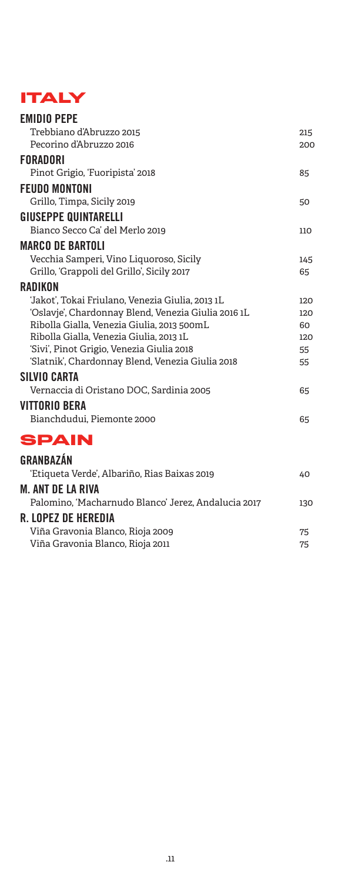## **ITALY**

| <b>EMIDIO PEPE</b>                                  |     |
|-----------------------------------------------------|-----|
| Trebbiano d'Abruzzo 2015                            | 215 |
| Pecorino d'Abruzzo 2016                             | 200 |
| <b>FORADORI</b>                                     |     |
| Pinot Grigio, 'Fuoripista' 2018                     | 85  |
| <b>FEUDO MONTONI</b>                                |     |
| Grillo, Timpa, Sicily 2019                          | 50  |
| <b>GIUSEPPE QUINTARELLI</b>                         |     |
| Bianco Secco Ca' del Merlo 2019                     | 110 |
| <b>MARCO DE BARTOLI</b>                             |     |
| Vecchia Samperi, Vino Liquoroso, Sicily             | 145 |
| Grillo, 'Grappoli del Grillo', Sicily 2017          | 65  |
| RADIKON                                             |     |
| ʻJakot', Tokai Friulano, Venezia Giulia, 2013 1L    | 120 |
| 'Oslavje', Chardonnay Blend, Venezia Giulia 2016 1L | 120 |
| Ribolla Gialla, Venezia Giulia, 2013 500mL          | 60  |
| Ribolla Gialla, Venezia Giulia, 2013 1L             | 120 |
| 'Sivi', Pinot Grigio, Venezia Giulia 2018           | 55  |
| 'Slatnik', Chardonnay Blend, Venezia Giulia 2018    | 55  |
| <b>SILVIO CARTA</b>                                 |     |
| Vernaccia di Oristano DOC, Sardinia 2005            | 65  |
| VITTORIO BERA                                       |     |
| Bianchdudui, Piemonte 2000                          | 65  |
| <b>SPAIN</b>                                        |     |
| <b>GRANBAZÁN</b>                                    |     |
| 'Etiqueta Verde', Albariño, Rias Baixas 2019        | 40  |
| M. ANT DE LA RIVA                                   |     |
| Palomino, 'Macharnudo Blanco' Jerez, Andalucia 2017 | 130 |
| R. LOPEZ DE HEREDIA                                 |     |
| Viña Gravonia Blanco, Rioja 2009                    | 75  |
| Viña Gravonia Blanco, Rioja 2011                    | 75  |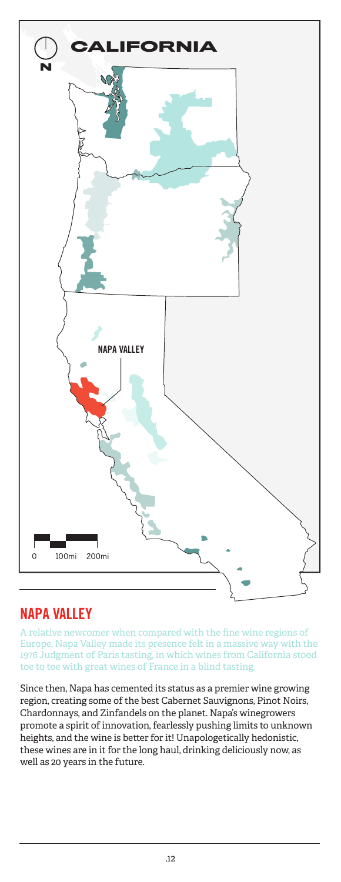

## NAPA VALLEY

A relative newcomer when compared with the fine wine regions of Europe, Napa Valley made its presence felt in a massive way with the 1976 Judgment of Paris tasting, in which wines from California stood toe to toe with great wines of France in a blind tasting.

Since then, Napa has cemented its status as a premier wine growing region, creating some of the best Cabernet Sauvignons, Pinot Noirs, Chardonnays, and Zinfandels on the planet. Napa's winegrowers promote a spirit of innovation, fearlessly pushing limits to unknown heights, and the wine is better for it! Unapologetically hedonistic, these wines are in it for the long haul, drinking deliciously now, as well as 20 years in the future.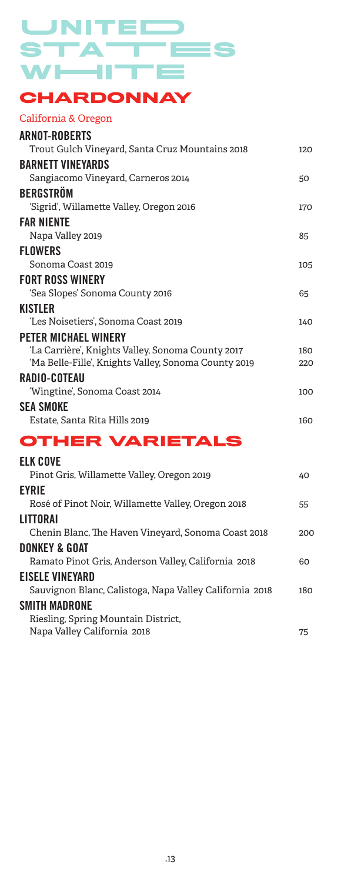#### UNITE **The Second** STA Ξ ES  $W$   $\rightarrow$   $H^{\dagger}$  $\equiv$ П

## **CHARDONNAY**

#### California & Oregon

| <b>ARNOT-ROBERTS</b>                                    |     |
|---------------------------------------------------------|-----|
| Trout Gulch Vineyard, Santa Cruz Mountains 2018         | 120 |
| <b>BARNETT VINEYARDS</b>                                |     |
| Sangiacomo Vineyard, Carneros 2014                      | 50  |
| <b>BERGSTRÖM</b>                                        |     |
| 'Sigrid', Willamette Valley, Oregon 2016                | 170 |
| <b>FAR NIENTE</b>                                       |     |
| Napa Valley 2019                                        | 85  |
| <b>FLOWERS</b>                                          |     |
| Sonoma Coast 2019                                       | 105 |
| <b>FORT ROSS WINERY</b>                                 |     |
| 'Sea Slopes' Sonoma County 2016                         | 65  |
| <b>KISTLER</b>                                          |     |
| 'Les Noisetiers', Sonoma Coast 2019                     | 140 |
| <b>PETER MICHAEL WINERY</b>                             |     |
| 'La Carrière', Knights Valley, Sonoma County 2017       | 180 |
| 'Ma Belle-Fille', Knights Valley, Sonoma County 2019    | 220 |
| <b>RADIO-COTEAU</b>                                     |     |
| 'Wingtine', Sonoma Coast 2014                           | 100 |
| <b>SEA SMOKE</b>                                        |     |
| Estate, Santa Rita Hills 2019                           | 160 |
| <b>OTHER VARIETALS</b>                                  |     |
| <b>ELK COVE</b>                                         |     |
| Pinot Gris, Willamette Valley, Oregon 2019              | 40  |
| <b>EYRIE</b>                                            |     |
| Rosé of Pinot Noir, Willamette Valley, Oregon 2018      | 55  |
| LITTORAI                                                |     |
| Chenin Blanc, The Haven Vineyard, Sonoma Coast 2018     | 200 |
| <b>DONKEY &amp; GOAT</b>                                |     |
| Ramato Pinot Gris, Anderson Valley, California 2018     | 60  |
| <b>EISELE VINEYARD</b>                                  |     |
| Sauvignon Blanc, Calistoga, Napa Valley California 2018 | 180 |
|                                                         |     |

#### SMITH MADRONE

Riesling, Spring Mountain District, Napa Valley California 2018 **75**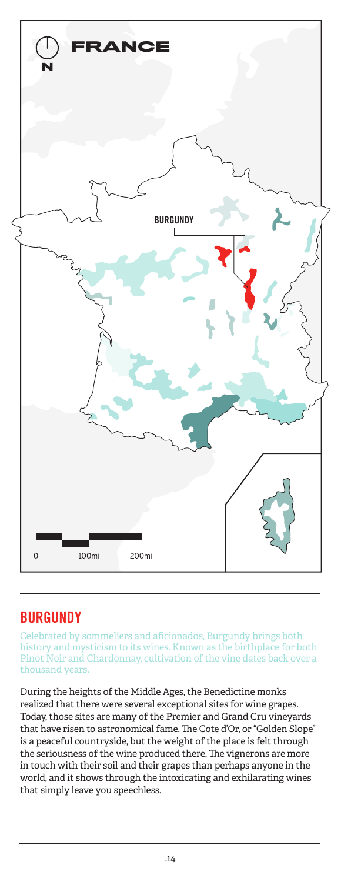

## BURGUNDY

Celebrated by sommeliers and aficionados, Burgundy brings both history and mysticism to its wines. Known as the birthplace for both Pinot Noir and Chardonnay, cultivation of the vine dates back over a thousand years.

During the heights of the Middle Ages, the Benedictine monks realized that there were several exceptional sites for wine grapes. Today, those sites are many of the Premier and Grand Cru vineyards that have risen to astronomical fame. The Cote d'Or, or "Golden Slope" is a peaceful countryside, but the weight of the place is felt through the seriousness of the wine produced there. The vignerons are more in touch with their soil and their grapes than perhaps anyone in the world, and it shows through the intoxicating and exhilarating wines that simply leave you speechless.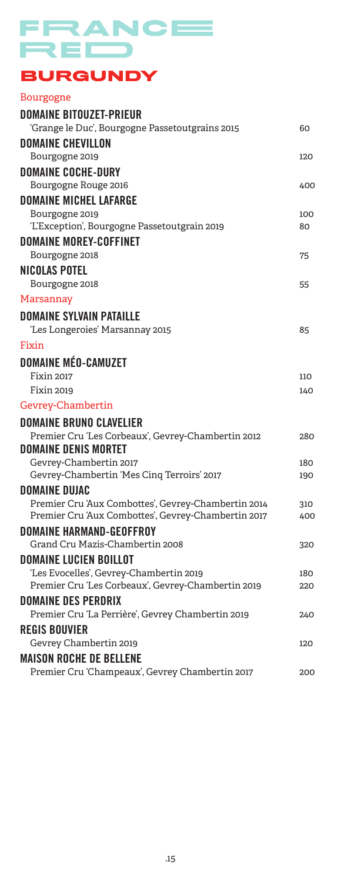# FRANCE RED

## **BURGUNDY**

| <b>Bourgogne</b>                                                                                           |            |
|------------------------------------------------------------------------------------------------------------|------------|
| <b>DOMAINE BITOUZET-PRIEUR</b>                                                                             |            |
| 'Grange le Duc', Bourgogne Passetoutgrains 2015                                                            | 60         |
| <b>DOMAINE CHEVILLON</b>                                                                                   |            |
| Bourgogne 2019                                                                                             | 120        |
| <b>DOMAINE COCHE-DURY</b>                                                                                  |            |
| Bourgogne Rouge 2016                                                                                       | 400        |
| <b>DOMAINE MICHEL LAFARGE</b>                                                                              |            |
| Bourgogne 2019                                                                                             | 100        |
| 'L'Exception', Bourgogne Passetoutgrain 2019                                                               | 80         |
| <b>DOMAINE MOREY-COFFINET</b>                                                                              |            |
| Bourgogne 2018                                                                                             | 75         |
| <b>NICOLAS POTEL</b>                                                                                       |            |
| Bourgogne 2018                                                                                             | 55         |
| Marsannay                                                                                                  |            |
| <b>DOMAINE SYLVAIN PATAILLE</b>                                                                            |            |
| 'Les Longeroies' Marsannay 2015                                                                            | 85         |
| Fixin                                                                                                      |            |
| <b>DOMAINE MÉO-CAMUZET</b>                                                                                 |            |
| <b>Fixin 2017</b>                                                                                          | 110        |
| Fixin 2019                                                                                                 | 140        |
| Gevrey-Chambertin                                                                                          |            |
| <b>DOMAINE BRUNO CLAVELIER</b>                                                                             |            |
| Premier Cru 'Les Corbeaux', Gevrey-Chambertin 2012                                                         | 280        |
| <b>DOMAINE DENIS MORTET</b>                                                                                |            |
| Gevrey-Chambertin 2017                                                                                     | 180        |
| Gevrey-Chambertin 'Mes Cinq Terroirs' 2017                                                                 | 190        |
| <b>DOMAINE DUJAC</b>                                                                                       |            |
| Premier Cru 'Aux Combottes', Gevrey-Chambertin 2014<br>Premier Cru 'Aux Combottes', Gevrey-Chambertin 2017 | 310<br>400 |
| <b>DOMAINE HARMAND-GEOFFROY</b>                                                                            |            |
| Grand Cru Mazis-Chambertin 2008                                                                            | 320        |
| <b>DOMAINE LUCIEN BOILLOT</b>                                                                              |            |
| 'Les Evocelles', Gevrey-Chambertin 2019                                                                    | 180        |
| Premier Cru 'Les Corbeaux', Gevrey-Chambertin 2019                                                         | 220        |
| <b>DOMAINE DES PERDRIX</b>                                                                                 |            |
| Premier Cru 'La Perrière', Gevrey Chambertin 2019                                                          | 240        |
| <b>REGIS BOUVIER</b>                                                                                       |            |
| Gevrey Chambertin 2019                                                                                     | 120        |
| <b>MAISON ROCHE DE BELLENE</b>                                                                             |            |
| Premier Cru 'Champeaux', Gevrey Chambertin 2017                                                            | 200        |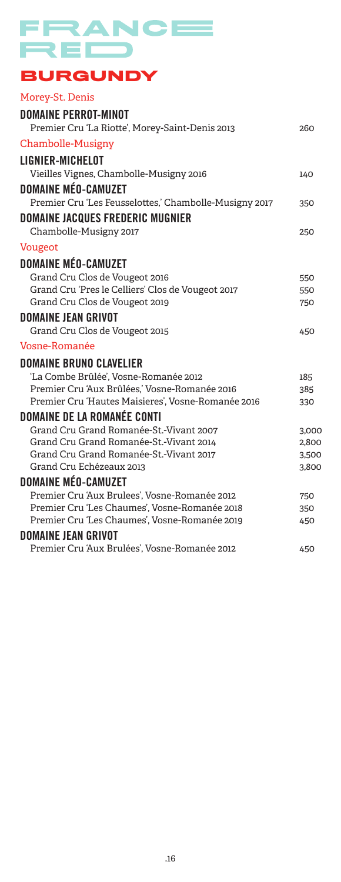# FRANCE RED

## **BURGUNDY**

| Morey-St. Denis                                        |       |
|--------------------------------------------------------|-------|
| <b>DOMAINE PERROT-MINOT</b>                            |       |
| Premier Cru 'La Riotte', Morey-Saint-Denis 2013        | 260   |
| Chambolle-Musigny                                      |       |
| <b>LIGNIER-MICHELOT</b>                                |       |
| Vieilles Vignes, Chambolle-Musigny 2016                | 140   |
| <b>DOMAINE MÉO-CAMUZET</b>                             |       |
| Premier Cru 'Les Feusselottes,' Chambolle-Musigny 2017 | 350   |
| <b>DOMAINE JACQUES FREDERIC MUGNIER</b>                |       |
| Chambolle-Musigny 2017                                 | 250   |
| <b>Vougeot</b>                                         |       |
| <b>DOMAINE MÉO-CAMUZET</b>                             |       |
| Grand Cru Clos de Vougeot 2016                         | 550   |
| Grand Cru 'Pres le Celliers' Clos de Vougeot 2017      | 550   |
| Grand Cru Clos de Vougeot 2019                         | 750   |
| <b>DOMAINE JEAN GRIVOT</b>                             |       |
| Grand Cru Clos de Vougeot 2015                         | 450   |
| Vosne-Romanée                                          |       |
| <b>DOMAINE BRUNO CLAVELIER</b>                         |       |
| 'La Combe Brûlée', Vosne-Romanée 2012                  | 185   |
| Premier Cru 'Aux Brûlées,' Vosne-Romanée 2016          | 385   |
| Premier Cru 'Hautes Maisieres', Vosne-Romanée 2016     | 330   |
| <b>DOMAINE DE LA ROMANÉE CONTI</b>                     |       |
| Grand Cru Grand Romanée-St.-Vivant 2007                | 3,000 |
| Grand Cru Grand Romanée-St.-Vivant 2014                | 2,800 |
| Grand Cru Grand Romanée-St.-Vivant 2017                | 3,500 |
| Grand Cru Echézeaux 2013                               | 3,800 |
| <b>DOMAINE MÉO-CAMUZET</b>                             |       |
| Premier Cru 'Aux Brulees', Vosne-Romanée 2012          | 750   |
| Premier Cru 'Les Chaumes', Vosne-Romanée 2018          | 350   |
| Premier Cru 'Les Chaumes', Vosne-Romanée 2019          | 450   |
| <b>DOMAINE JEAN GRIVOT</b>                             |       |
| Premier Cru 'Aux Brulées', Vosne-Romanée 2012          | 450   |
|                                                        |       |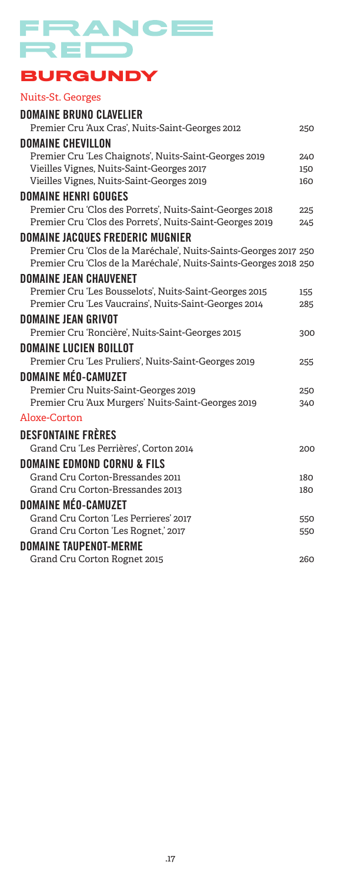# FRANCE  $\neg$ E $\Box$

## **BURGUNDY**

## Nuits-St. Georges

| <b>DOMAINE BRUNO CLAVELIER</b>                                    |            |
|-------------------------------------------------------------------|------------|
| Premier Cru 'Aux Cras', Nuits-Saint-Georges 2012                  | 250        |
| <b>DOMAINE CHEVILLON</b>                                          |            |
| Premier Cru 'Les Chaignots', Nuits-Saint-Georges 2019             | 240        |
| Vieilles Vignes, Nuits-Saint-Georges 2017                         | 150        |
| Vieilles Vignes, Nuits-Saint-Georges 2019                         | 160        |
| <b>DOMAINE HENRI GOUGES</b>                                       |            |
| Premier Cru 'Clos des Porrets', Nuits-Saint-Georges 2018          | 225        |
| Premier Cru 'Clos des Porrets', Nuits-Saint-Georges 2019          | 245        |
| <b>DOMAINE JACQUES FREDERIC MUGNIER</b>                           |            |
| Premier Cru 'Clos de la Maréchale', Nuits-Saints-Georges 2017 250 |            |
| Premier Cru 'Clos de la Maréchale', Nuits-Saints-Georges 2018 250 |            |
| <b>DOMAINE JEAN CHAUVENET</b>                                     |            |
| Premier Cru 'Les Bousselots', Nuits-Saint-Georges 2015            | 155        |
| Premier Cru 'Les Vaucrains', Nuits-Saint-Georges 2014             | 285        |
| <b>DOMAINE JEAN GRIVOT</b>                                        |            |
| Premier Cru 'Roncière', Nuits-Saint-Georges 2015                  | 300        |
| <b>DOMAINE LUCIEN BOILLOT</b>                                     |            |
| Premier Cru 'Les Pruliers', Nuits-Saint-Georges 2019              | 255        |
| <b>DOMAINE MÉO-CAMUZET</b>                                        |            |
| Premier Cru Nuits-Saint-Georges 2019                              | 250        |
| Premier Cru 'Aux Murgers' Nuits-Saint-Georges 2019                | 340        |
| Aloxe-Corton                                                      |            |
| <b>DESFONTAINE FRÈRES</b>                                         |            |
| Grand Cru 'Les Perrières', Corton 2014                            | 200        |
|                                                                   |            |
| DOMAINE EDMOND CORNU & FILS<br>Grand Cru Corton-Bressandes 2011   |            |
| Grand Cru Corton-Bressandes 2013                                  | 180<br>180 |
|                                                                   |            |
| <b>DOMAINE MÉO-CAMUZET</b>                                        |            |
| Grand Cru Corton 'Les Perrieres' 2017                             | 550        |
| Grand Cru Corton 'Les Rognet,' 2017                               | 550        |
| <b>DOMAINE TAUPENOT-MERME</b>                                     |            |
| Grand Cru Corton Rognet 2015                                      | 260        |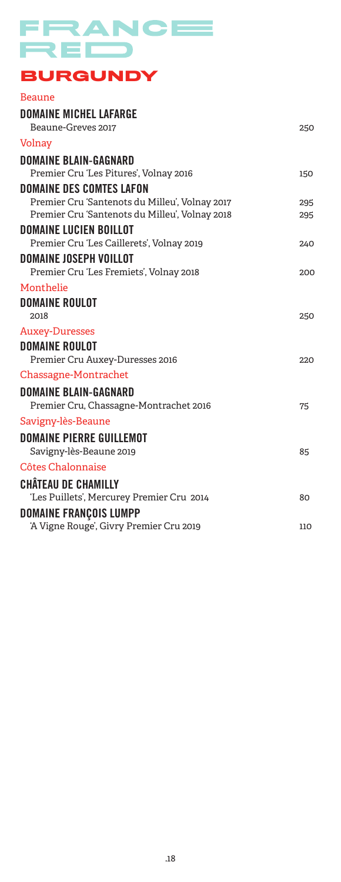# FRANCE RED

## **BURGUNDY**

| <b>Beaune</b>                                  |     |
|------------------------------------------------|-----|
| <b>DOMAINE MICHEL LAFARGE</b>                  |     |
| Beaune-Greves 2017                             | 250 |
| Volnay                                         |     |
| <b>DOMAINE BLAIN-GAGNARD</b>                   |     |
| Premier Cru 'Les Pitures', Volnay 2016         | 150 |
| <b>DOMAINE DES COMTES LAFON</b>                |     |
| Premier Cru 'Santenots du Milleu', Volnay 2017 | 295 |
| Premier Cru 'Santenots du Milleu', Volnay 2018 | 295 |
| <b>DOMAINE LUCIEN BOILLOT</b>                  |     |
| Premier Cru 'Les Caillerets', Volnay 2019      | 240 |
| <b>DOMAINE JOSEPH VOILLOT</b>                  |     |
| Premier Cru 'Les Fremiets', Volnay 2018        | 200 |
| Monthelie                                      |     |
| <b>DOMAINE ROULOT</b>                          |     |
| 2018                                           | 250 |
| <b>Auxey-Duresses</b>                          |     |
| <b>DOMAINE ROULOT</b>                          |     |
| Premier Cru Auxey-Duresses 2016                | 220 |
| Chassagne-Montrachet                           |     |
| DOMAINE BLAIN-GAGNARD                          |     |
| Premier Cru, Chassagne-Montrachet 2016         | 75  |
| Savigny-lès-Beaune                             |     |
| <b>DOMAINE PIERRE GUILLEMOT</b>                |     |
| Savigny-lès-Beaune 2019                        | 85  |
| Côtes Chalonnaise                              |     |
| <b>CHÂTEAU DE CHAMILLY</b>                     |     |
| 'Les Puillets', Mercurey Premier Cru 2014      | 80  |
| <b>DOMAINE FRANÇOIS LUMPP</b>                  |     |
| 'A Vigne Rouge', Givry Premier Cru 2019        | 110 |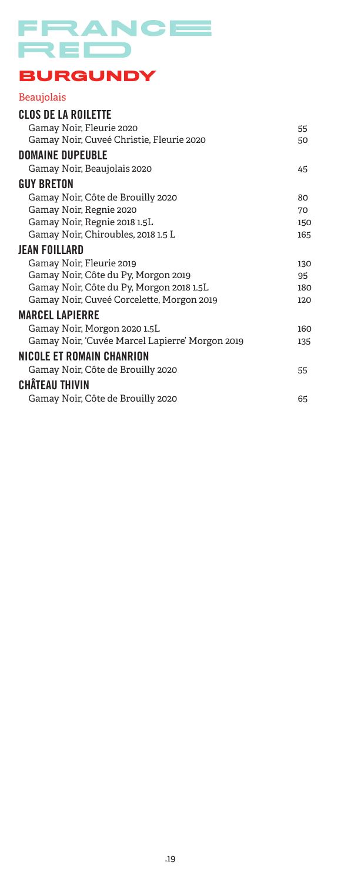

## **BURGUNDY**

#### Beaujolais

| <b>CLOS DE LA ROILETTE</b>                      |     |
|-------------------------------------------------|-----|
| Gamay Noir, Fleurie 2020                        | 55  |
| Gamay Noir, Cuveé Christie, Fleurie 2020        | 50  |
| <b>DOMAINE DUPEUBLE</b>                         |     |
| Gamay Noir, Beaujolais 2020                     | 45  |
| <b>GUY BRETON</b>                               |     |
| Gamay Noir, Côte de Brouilly 2020               | 80  |
| Gamay Noir, Regnie 2020                         | 70  |
| Gamay Noir, Regnie 2018 1.5L                    | 150 |
| Gamay Noir, Chiroubles, 2018 1.5 L              | 165 |
| JEAN FOILLARD                                   |     |
| Gamay Noir, Fleurie 2019                        | 130 |
| Gamay Noir, Côte du Py, Morgon 2019             | 95  |
| Gamay Noir, Côte du Py, Morgon 2018 1.5L        | 180 |
| Gamay Noir, Cuveé Corcelette, Morgon 2019       | 120 |
| <b>MARCEL LAPIERRE</b>                          |     |
| Gamay Noir, Morgon 2020 1.5L                    | 160 |
| Gamay Noir, 'Cuvée Marcel Lapierre' Morgon 2019 | 135 |
| NICOLE ET ROMAIN CHANRION                       |     |
| Gamay Noir, Côte de Brouilly 2020               | 55  |
| <b>CHÂTEAU THIVIN</b>                           |     |
| Gamay Noir, Côte de Brouilly 2020               | 65  |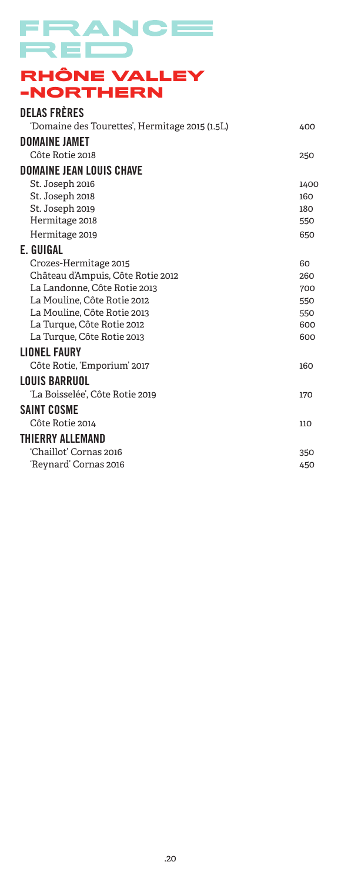## FRANCE RED **RHÔNE VALLEY -NORTHERN**

| <b>DELAS FRÈRES</b>                            |      |
|------------------------------------------------|------|
| 'Domaine des Tourettes', Hermitage 2015 (1.5L) | 400  |
| <b>DOMAINE JAMET</b>                           |      |
| Côte Rotie 2018                                | 250  |
| <b>DOMAINE JEAN LOUIS CHAVE</b>                |      |
| St. Joseph 2016                                | 1400 |
| St. Joseph 2018                                | 160  |
| St. Joseph 2019                                | 180  |
| Hermitage 2018                                 | 550  |
| Hermitage 2019                                 | 650  |
| E. GUIGAL                                      |      |
| Crozes-Hermitage 2015                          | 60   |
| Château d'Ampuis, Côte Rotie 2012              | 260  |
| La Landonne, Côte Rotie 2013                   | 700  |
| La Mouline, Côte Rotie 2012                    | 550  |
| La Mouline, Côte Rotie 2013                    | 550  |
| La Turque, Côte Rotie 2012                     | 600  |
| La Turque, Côte Rotie 2013                     | 600  |
| <b>LIONEL FAURY</b>                            |      |
| Côte Rotie, 'Emporium' 2017                    | 160  |
| <b>LOUIS BARRUOL</b>                           |      |
| 'La Boisselée', Côte Rotie 2019                | 170  |
| SAINT COSME                                    |      |
| Côte Rotie 2014                                | 110  |
| <b>THIERRY ALLEMAND</b>                        |      |
| 'Chaillot' Cornas 2016                         | 350  |
| 'Reynard' Cornas 2016                          | 450  |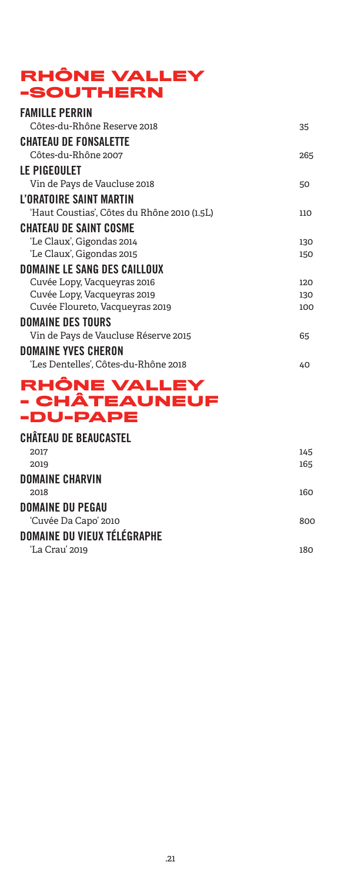## **RHÔNE VALLEY -SOUTHERN**

| <b>FAMILLE PERRIN</b>                       |     |
|---------------------------------------------|-----|
| Côtes-du-Rhône Reserve 2018                 | 35  |
| <b>CHATEAU DE FONSALETTE</b>                |     |
| Côtes-du-Rhône 2007                         | 265 |
| LE PIGEOULET                                |     |
| Vin de Pays de Vaucluse 2018                | 50  |
| L'ORATOIRE SAINT MARTIN                     |     |
| 'Haut Coustias', Côtes du Rhône 2010 (1.5L) | 110 |
| CHATEAU DE SAINT COSME                      |     |
| 'Le Claux', Gigondas 2014                   | 130 |
| 'Le Claux', Gigondas 2015                   | 150 |
| <b>DOMAINE LE SANG DES CAILLOUX</b>         |     |
| Cuvée Lopy, Vacqueyras 2016                 | 120 |
| Cuvée Lopy, Vacqueyras 2019                 | 130 |
| Cuvée Floureto, Vacqueyras 2019             | 100 |
| <b>DOMAINE DES TOURS</b>                    |     |
| Vin de Pays de Vaucluse Réserve 2015        | 65  |
| <b>DOMAINE YVES CHERON</b>                  |     |
| 'Les Dentelles', Côtes-du-Rhône 2018        | 40  |
| ◚                                           |     |

#### **RHÔNE VALLEY - CHÂTEAUNEUF -DU-PAPE**

| CHÂTEAU DE BEAUCASTEL       |     |
|-----------------------------|-----|
| 2017                        | 145 |
| 2019                        | 165 |
| DOMAINE CHARVIN             |     |
| 2018                        | 160 |
| <b>DOMAINE DU PEGAU</b>     |     |
| 'Cuvée Da Capo' 2010        | 800 |
| DOMAINE DU VIEUX TÉLÉGRAPHE |     |
| 'La Crau' 2019              | 180 |
|                             |     |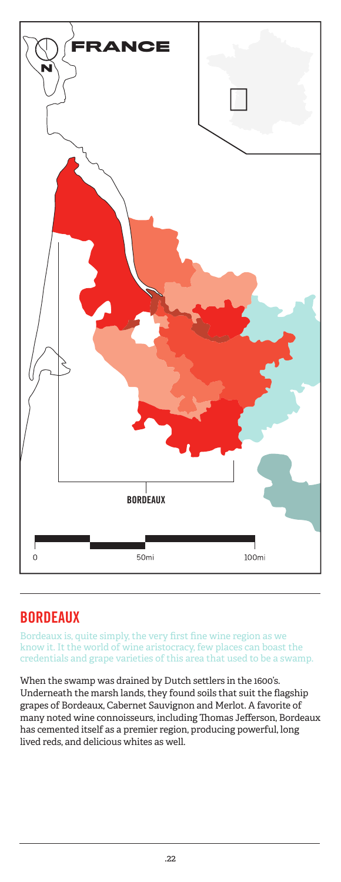

## BORDEAUX

Bordeaux is, quite simply, the very first fine wine region as we know it. It the world of wine aristocracy, few places can boast the credentials and grape varieties of this area that used to be a swamp.

When the swamp was drained by Dutch settlers in the 1600's. Underneath the marsh lands, they found soils that suit the flagship grapes of Bordeaux, Cabernet Sauvignon and Merlot. A favorite of many noted wine connoisseurs, including Thomas Jefferson, Bordeaux has cemented itself as a premier region, producing powerful, long lived reds, and delicious whites as well.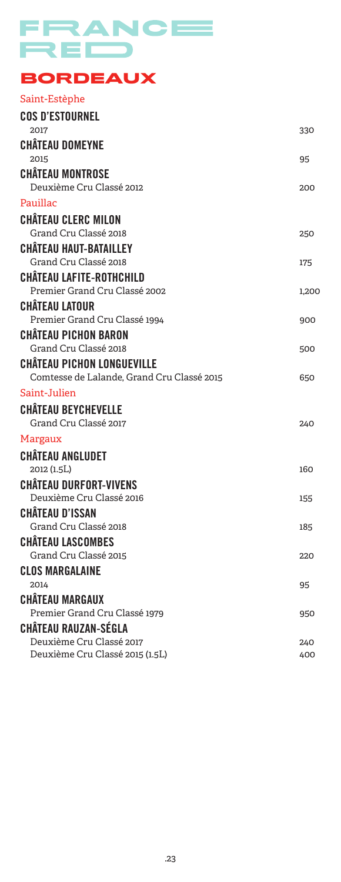# FRANCE RED

## **BORDEAUX**

| Saint-Estèphe                              |       |
|--------------------------------------------|-------|
| <b>COS D'ESTOURNEL</b>                     |       |
| 2017                                       | 330   |
| <b>CHÂTEAU DOMEYNE</b>                     |       |
| 2015                                       | 95    |
| <b>CHÂTEAU MONTROSE</b>                    |       |
| Deuxième Cru Classé 2012                   | 200   |
| Pauillac                                   |       |
| <b>CHÂTEAU CLERC MILON</b>                 |       |
| Grand Cru Classé 2018                      | 250   |
| <b>CHÂTEAU HAUT-BATAILLEY</b>              |       |
| Grand Cru Classé 2018                      | 175   |
| CHÂTEAU LAFITE-ROTHCHILD                   |       |
| Premier Grand Cru Classé 2002              | 1,200 |
| <b>CHÂTEAU LATOUR</b>                      |       |
| Premier Grand Cru Classé 1994              | 900   |
| <b>CHÂTEAU PICHON BARON</b>                |       |
| Grand Cru Classé 2018                      | 500   |
| <b>CHÂTEAU PICHON LONGUEVILLE</b>          |       |
| Comtesse de Lalande, Grand Cru Classé 2015 | 650   |
| Saint-Julien                               |       |
| <b>CHÂTEAU BEYCHEVELLE</b>                 |       |
| Grand Cru Classé 2017                      | 240   |
| Margaux                                    |       |
| CHÂTEAU ANGLUDET                           |       |
| 2012 (1.5L)                                | 160   |
| <b>CHÂTEAU DURFORT-VIVENS</b>              |       |
| Deuxième Cru Classé 2016                   | 155   |
| CHÂTEAU D'ISSAN                            |       |
| Grand Cru Classé 2018                      | 185   |
| <b>CHÂTEAU LASCOMBES</b>                   |       |
| Grand Cru Classé 2015                      | 220   |
| <b>CLOS MARGALAINE</b>                     |       |
| 2014                                       | 95    |
| <b>CHÂTEAU MARGAUX</b>                     |       |
| Premier Grand Cru Classé 1979              | 950   |
| <b>CHÂTEAU RAUZAN-SÉGLA</b>                |       |
| Deuxième Cru Classé 2017                   | 240   |
| Deuxième Cru Classé 2015 (1.5L)            | 400   |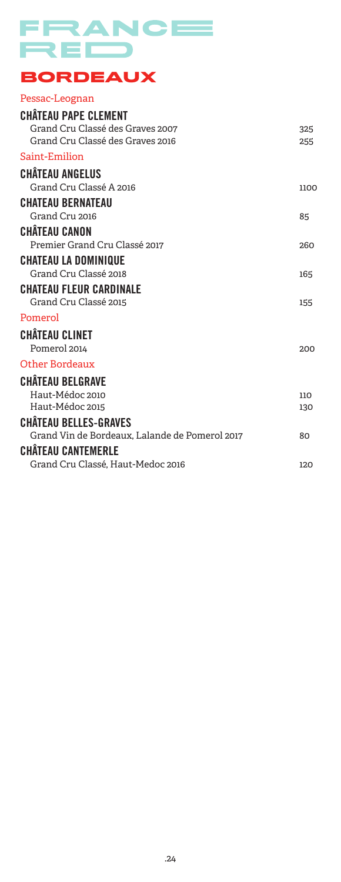

## **BORDEAUX**

#### Pessac-Leognan

| <b>CHÂTEAU PAPE CLEMENT</b>                    |      |
|------------------------------------------------|------|
| Grand Cru Classé des Graves 2007               | 325  |
| Grand Cru Classé des Graves 2016               | 255  |
| Saint-Emilion                                  |      |
| <b>CHÂTEAU ANGELUS</b>                         |      |
| Grand Cru Classé A 2016                        | 1100 |
| <b>CHATEAU BERNATEAU</b>                       |      |
| Grand Cru 2016                                 | 85   |
| <b>CHÂTEAU CANON</b>                           |      |
| Premier Grand Cru Classé 2017                  | 260  |
| <b>CHATEAU LA DOMINIQUE</b>                    |      |
| Grand Cru Classé 2018                          | 165  |
| <b>CHATEAU FLEUR CARDINALE</b>                 |      |
| Grand Cru Classé 2015                          | 155  |
| Pomerol                                        |      |
| <b>CHÂTEAU CLINET</b>                          |      |
| Pomerol 2014                                   | 200  |
| Other Bordeaux                                 |      |
| <b>CHÂTEAU BELGRAVE</b>                        |      |
| Haut-Médoc 2010                                | 110  |
| Haut-Médoc 2015                                | 130  |
| <b>CHÂTEAU BELLES-GRAVES</b>                   |      |
| Grand Vin de Bordeaux, Lalande de Pomerol 2017 | 80   |
| <b>CHÂTEAU CANTEMERLE</b>                      |      |
| Grand Cru Classé, Haut-Medoc 2016              | 120  |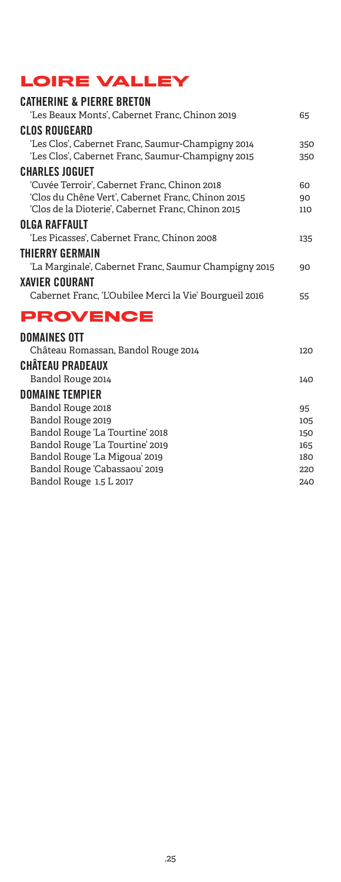## **LOIRE VALLEY**

| <b>CATHERINE &amp; PIERRE BRETON</b>                    |     |
|---------------------------------------------------------|-----|
| 'Les Beaux Monts', Cabernet Franc, Chinon 2019          | 65  |
| <b>CLOS ROUGEARD</b>                                    |     |
| 'Les Clos', Cabernet Franc, Saumur-Champigny 2014       | 350 |
| 'Les Clos', Cabernet Franc, Saumur-Champigny 2015       | 350 |
| <b>CHARLES JOGUET</b>                                   |     |
| 'Cuvée Terroir', Cabernet Franc, Chinon 2018            | 60  |
| 'Clos du Chêne Vert', Cabernet Franc, Chinon 2015       | 90  |
| 'Clos de la Dioterie', Cabernet Franc, Chinon 2015      | 110 |
| OLGA RAFFAULT                                           |     |
| 'Les Picasses', Cabernet Franc, Chinon 2008             | 135 |
| <b>THIERRY GERMAIN</b>                                  |     |
| 'La Marginale', Cabernet Franc, Saumur Champigny 2015   | 90  |
| <b>XAVIER COURANT</b>                                   |     |
| Cabernet Franc, 'L'Oubilee Merci la Vie' Bourgueil 2016 | 55  |
|                                                         |     |
| <b>PROVENCE</b>                                         |     |
| <b>DOMAINES OTT</b>                                     |     |
| Château Romassan, Bandol Rouge 2014                     | 120 |
| <b>CHÂTEAU PRADEAUX</b>                                 |     |
| Bandol Rouge 2014                                       | 140 |
| <b>DOMAINE TEMPIER</b>                                  |     |
| Bandol Rouge 2018                                       | 95  |
| Bandol Rouge 2019                                       | 105 |
| Bandol Rouge 'La Tourtine' 2018                         | 150 |
| Bandol Rouge 'La Tourtine' 2019                         | 165 |
| Bandol Rouge 'La Migoua' 2019                           | 180 |
| Bandol Rouge 'Cabassaou' 2019                           | 220 |
| Bandol Rouge 1.5 L 2017                                 | 240 |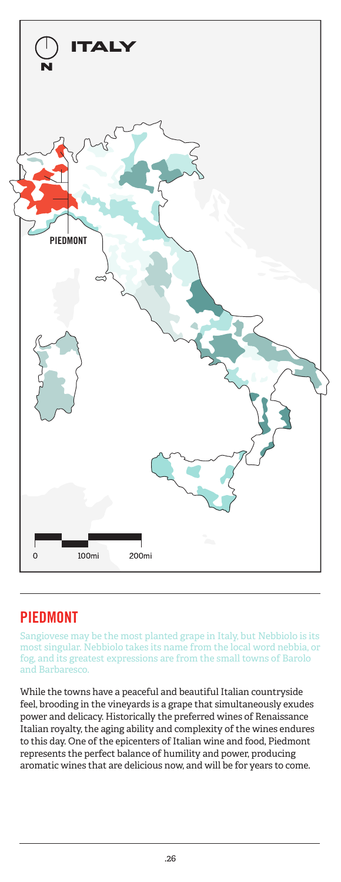

## PIEDMONT

Sangiovese may be the most planted grape in Italy, but Nebbiolo is its most singular. Nebbiolo takes its name from the local word nebbia, or fog, and its greatest expressions are from the small towns of Barolo and Barbaresco.

While the towns have a peaceful and beautiful Italian countryside feel, brooding in the vineyards is a grape that simultaneously exudes power and delicacy. Historically the preferred wines of Renaissance Italian royalty, the aging ability and complexity of the wines endures to this day. One of the epicenters of Italian wine and food, Piedmont represents the perfect balance of humility and power, producing aromatic wines that are delicious now, and will be for years to come.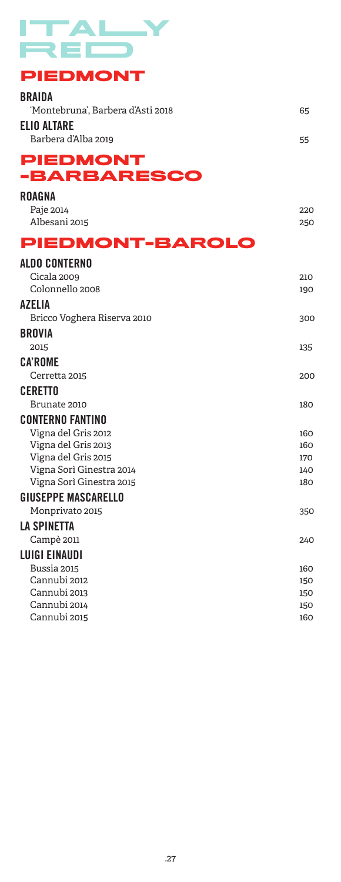

## **PIEDMONT**

| -BARBARESCO                        |    |
|------------------------------------|----|
| <b>PIEDMONT</b>                    |    |
| ELIO ALTARE<br>Barbera d'Alba 2019 | 55 |
|                                    |    |
| 'Montebruna'. Barbera d'Asti 2018  | 65 |
| <b>BRAIDA</b>                      |    |

| ROAGNA               |     |
|----------------------|-----|
| Paje 2014            | 220 |
| Albesani 2015        | 250 |
| PIEDMONT-BAROLO      |     |
| <b>ALDO CONTERNO</b> |     |

| Cicala 2009                 | 210 |
|-----------------------------|-----|
| Colonnello 2008             | 190 |
| AZELIA                      |     |
| Bricco Voghera Riserva 2010 | 300 |
| <b>BROVIA</b>               |     |
| 2015                        | 135 |
| <b>CA'ROME</b>              |     |
| Cerretta 2015               | 200 |
| <b>CERETTO</b>              |     |
| Brunate 2010                | 180 |
| <b>CONTERNO FANTINO</b>     |     |
| Vigna del Gris 2012         | 160 |
| Vigna del Gris 2013         | 160 |
| Vigna del Gris 2015         | 170 |
| Vigna Sorì Ginestra 2014    | 140 |
| Vigna Sorì Ginestra 2015    | 180 |
| <b>GIUSEPPE MASCARELLO</b>  |     |
| Monprivato 2015             | 350 |
| LA SPINETTA                 |     |
| Campè 2011                  | 240 |
| <b>LUIGI EINAUDI</b>        |     |
| Bussia 2015                 | 160 |
| Cannubi 2012                | 150 |
| Cannubi 2013                | 150 |
| Cannubi 2014                | 150 |
| Cannubi 2015                | 160 |
|                             |     |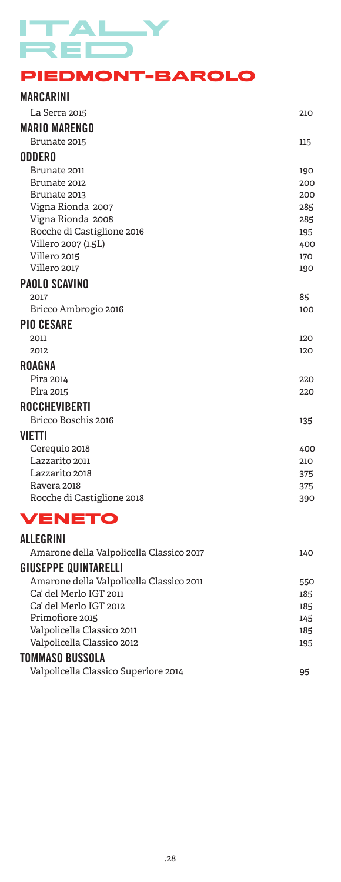## $\overline{\phantom{a}}$ Y ۳

#### **PIEDMONT-BAROLO**

#### MARCARINI La Serra 2015 210 MARIO MARENGO Brunate 2015 **115** ODDERO

Brunate 2011 190 Brunate 2012 200 Brunate 2013 200 Vigna Rionda 2007 285 Vigna Rionda 2008 285 Rocche di Castiglione 2016 195 Villero 2007 (1.5L) 400 Villero 2015 **170** Villero 2017 **190** 

#### PAOLO SCAVINO

| 2017                 | 85  |
|----------------------|-----|
| Bricco Ambrogio 2016 | 100 |

#### PIO CESARE

2011 120 2012 **120** 

#### ROAGNA

Pira 2014 **220** Pira 2015 220

#### ROCCHEVIBERTI

Bricco Boschis 2016 135

#### VIETTI

| 400 |
|-----|
| 210 |
| 375 |
| 375 |
| 390 |
|     |

## **VENETO**

| <b>ALLEGRINI</b>                         |     |
|------------------------------------------|-----|
| Amarone della Valpolicella Classico 2017 | 140 |
| <b>GIUSEPPE QUINTARELLI</b>              |     |
| Amarone della Valpolicella Classico 2011 | 550 |
| Ca' del Merlo IGT 2011                   | 185 |
| Ca' del Merlo IGT 2012                   | 185 |
| Primofiore 2015                          | 145 |
| Valpolicella Classico 2011               | 185 |
| Valpolicella Classico 2012               | 195 |
| TOMMASO BUSSOLA                          |     |
| Valpolicella Classico Superiore 2014     | 95  |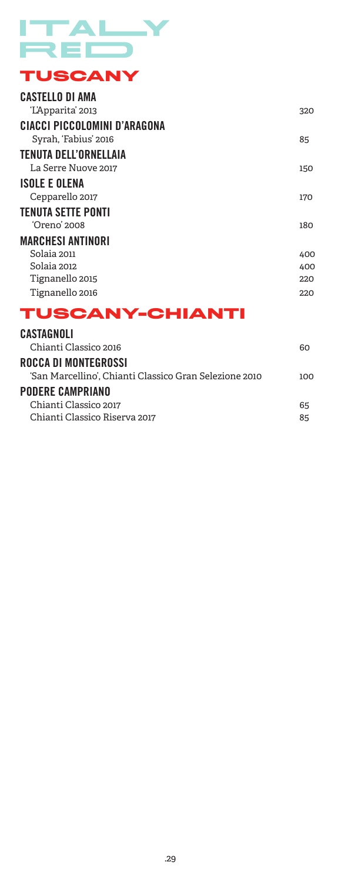

## **TUSCANY**

| <b>CASTELLO DI AMA</b>              |     |
|-------------------------------------|-----|
| 'L'Apparita' 2013                   | 320 |
| <b>CIACCI PICCOLOMINI D'ARAGONA</b> |     |
| Syrah, 'Fabius' 2016                | 85  |
| TENUTA DELL'ORNELLAIA               |     |
| La Serre Nuove 2017                 | 150 |
| <b>ISOLE E OLENA</b>                |     |
| Cepparello 2017                     | 170 |
| <b>TENUTA SETTE PONTI</b>           |     |
| 'Oreno' 2008                        | 180 |
| <b>MARCHESI ANTINORI</b>            |     |
| Solaia 2011                         | 400 |
| Solaia 2012                         | 400 |
| Tignanello 2015                     | 220 |
| Tignanello 2016                     | 220 |

## **TUSCANY-CHIANTI**

| CASTAGNOLI                                             |     |
|--------------------------------------------------------|-----|
| Chianti Classico 2016                                  | 60  |
| ROCCA DI MONTEGROSSI                                   |     |
| 'San Marcellino', Chianti Classico Gran Selezione 2010 | າດດ |
| <b>PODERE CAMPRIANO</b>                                |     |
| Chianti Classico 2017                                  | 65  |
| Chianti Classico Riserva 2017                          | 85  |
|                                                        |     |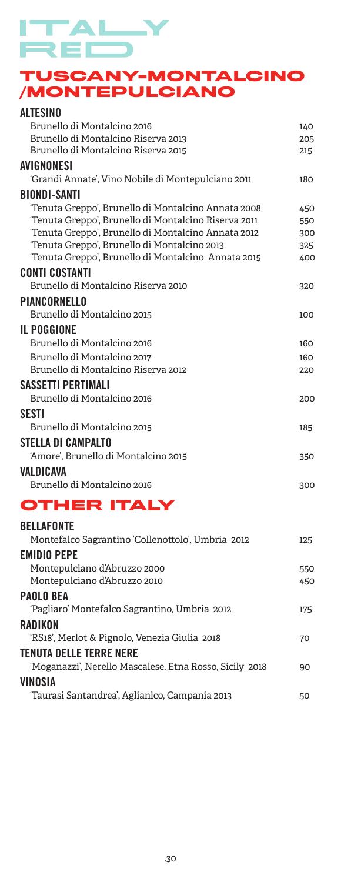# TALY 2 E I

#### **TUSCANY-MONTALCINO /MONTEPULCIANO**

| <b>ALTESINO</b>                                      |     |
|------------------------------------------------------|-----|
| Brunello di Montalcino 2016                          | 140 |
| Brunello di Montalcino Riserva 2013                  | 205 |
| Brunello di Montalcino Riserva 2015                  | 215 |
| AVIGNONESI                                           |     |
| 'Grandi Annate', Vino Nobile di Montepulciano 2011   | 180 |
| <b>BIONDI-SANTI</b>                                  |     |
| 'Tenuta Greppo', Brunello di Montalcino Annata 2008  | 450 |
| 'Tenuta Greppo', Brunello di Montalcino Riserva 2011 | 550 |
| 'Tenuta Greppo', Brunello di Montalcino Annata 2012  | 300 |
| 'Tenuta Greppo', Brunello di Montalcino 2013         | 325 |
| 'Tenuta Greppo', Brunello di Montalcino Annata 2015  | 400 |
| <b>CONTI COSTANTI</b>                                |     |
| Brunello di Montalcino Riserva 2010                  | 320 |
| PIANCORNELLO                                         |     |
| Brunello di Montalcino 2015                          | 100 |
| <b>IL POGGIONE</b>                                   |     |
| Brunello di Montalcino 2016                          | 160 |
| Brunello di Montalcino 2017                          | 160 |
| Brunello di Montalcino Riserva 2012                  | 220 |
| SASSETTI PERTIMALI                                   |     |
| Brunello di Montalcino 2016                          | 200 |
| <b>SESTI</b>                                         |     |
| Brunello di Montalcino 2015                          | 185 |
| <b>STELLA DI CAMPALTO</b>                            |     |
| 'Amore', Brunello di Montalcino 2015                 | 350 |
| VALDICAVA                                            |     |
| Brunello di Montalcino 2016                          | 300 |
| <b>OTHER ITALY</b>                                   |     |
| <b>BELLAFONTE</b>                                    |     |
| Montefalco Sagrantino 'Collenottolo', Umbria 2012    | 125 |
| <b>EMIDIO PEPE</b>                                   |     |
| Montepulciano d'Abruzzo 2000                         | 550 |
|                                                      |     |

Montepulciano d'Abruzzo 2010 450

'Pagliaro' Montefalco Sagrantino, Umbria 2012 175

'RS18', Merlot & Pignolo, Venezia Giulia 2018 70

'Moganazzi', Nerello Mascalese, Etna Rosso, Sicily 2018 90

'Taurasi Santandrea', Aglianico, Campania 2013 50

PAOLO BEA

**RADIKON** 

VINOSIA

TENUTA DELLE TERRE NERE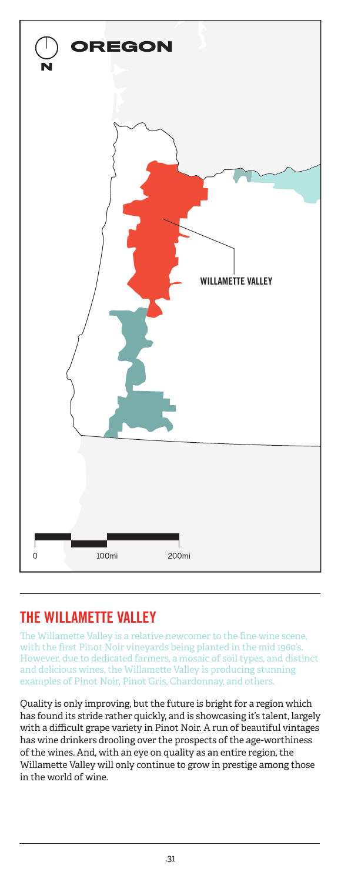

## THE WILLAMETTE VALLEY

The Willamette Valley is a relative newcomer to the fine wine scene, with the first Pinot Noir vineyards being planted in the mid 1960's. However, due to dedicated farmers, a mosaic of soil types, and distinct and delicious wines, the Willamette Valley is producing stunning examples of Pinot Noir, Pinot Gris, Chardonnay, and others.

Quality is only improving, but the future is bright for a region which has found its stride rather quickly, and is showcasing it's talent, largely with a difficult grape variety in Pinot Noir. A run of beautiful vintages has wine drinkers drooling over the prospects of the age-worthiness of the wines. And, with an eye on quality as an entire region, the Willamette Valley will only continue to grow in prestige among those in the world of wine.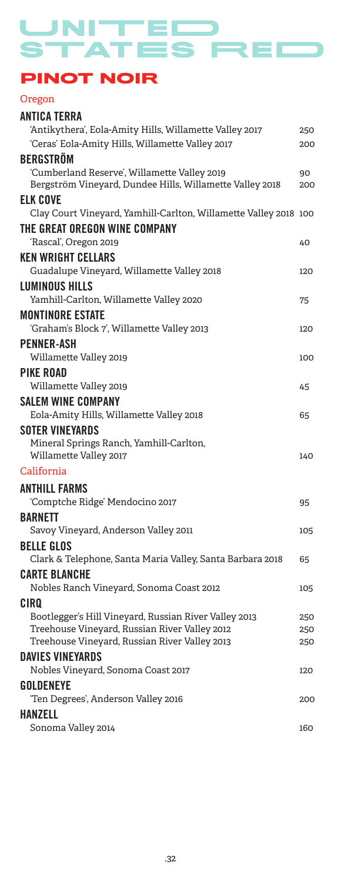TED ATES RE

## **PINOT NOIR**

Oregon ANTICA TERRA 'Antikythera', Eola-Amity Hills, Willamette Valley 2017 250 'Ceras' Eola-Amity Hills, Willamette Valley 2017 200 BERGSTRÖM 'Cumberland Reserve', Willamette Valley 2019 90 Bergström Vineyard, Dundee Hills, Willamette Valley 2018 200 ELK COVE Clay Court Vineyard, Yamhill-Carlton, Willamette Valley 2018 100 THE GREAT OREGON WINE COMPANY 'Rascal', Oregon 2019 40 KEN WRIGHT CELLARS Guadalupe Vineyard, Willamette Valley 2018 120 LUMINOUS HILLS Yamhill-Carlton, Willamette Valley 2020 75 MONTINORE ESTATE 'Graham's Block 7', Willamette Valley 2013 120 PENNER-ASH Willamette Valley 2019 100 PIKE ROAD Willamette Valley 2019 **1988** 45 SALEM WINE COMPANY Eola-Amity Hills, Willamette Valley 2018 65 SOTER VINEYARDS Mineral Springs Ranch, Yamhill-Carlton, Willamette Valley 2017 140 California ANTHILL FARMS 'Comptche Ridge' Mendocino 2017 95 **BARNETT** Savoy Vineyard, Anderson Valley 2011 105 BELLE GLOS Clark & Telephone, Santa Maria Valley, Santa Barbara 2018 65 CARTE BLANCHE Nobles Ranch Vineyard, Sonoma Coast 2012 105 CIRQ Bootlegger's Hill Vineyard, Russian River Valley 2013 250 Treehouse Vineyard, Russian River Valley 2012 250 Treehouse Vineyard, Russian River Valley 2013 250 DAVIES VINEYARDS Nobles Vineyard, Sonoma Coast 2017 120 GOLDENEYE 'Ten Degrees', Anderson Valley 2016 200 **HANZELL** Sonoma Valley 2014 160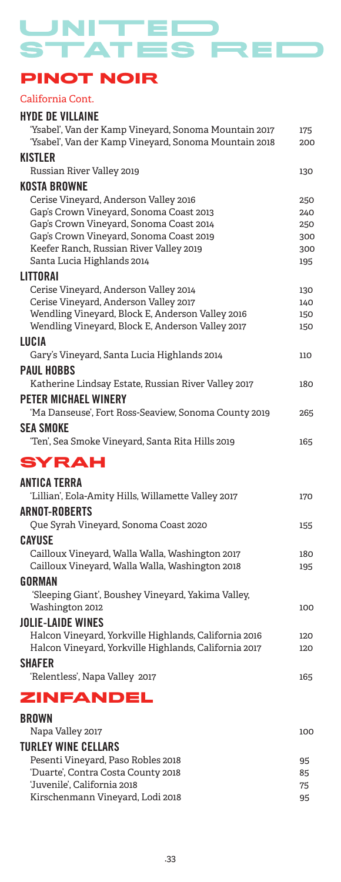UNITED STATES REC

## **PINOT NOIR**

#### California Cont.

## HYDE DE VILLAINE

| 'Ysabel', Van der Kamp Vineyard, Sonoma Mountain 2017<br>'Ysabel', Van der Kamp Vineyard, Sonoma Mountain 2018 | 175<br>200 |
|----------------------------------------------------------------------------------------------------------------|------------|
| KISTLER                                                                                                        |            |
| Russian River Valley 2019                                                                                      | 130        |
| KOSTA BROWNE                                                                                                   |            |
| Cerise Vineyard, Anderson Valley 2016                                                                          | 250        |
| Gap's Crown Vineyard, Sonoma Coast 2013                                                                        | 240        |
| Gap's Crown Vineyard, Sonoma Coast 2014                                                                        | 250        |
| Gap's Crown Vineyard, Sonoma Coast 2019                                                                        | 300        |
| Keefer Ranch, Russian River Valley 2019<br>Santa Lucia Highlands 2014                                          | 300<br>195 |
| <b>LITTORAI</b>                                                                                                |            |
| Cerise Vineyard, Anderson Valley 2014                                                                          | 130        |
| Cerise Vineyard, Anderson Valley 2017                                                                          | 140        |
| Wendling Vineyard, Block E, Anderson Valley 2016                                                               | 150        |
| Wendling Vineyard, Block E, Anderson Valley 2017                                                               | 150        |
| LUCIA                                                                                                          |            |
| Gary's Vineyard, Santa Lucia Highlands 2014                                                                    | 110        |
| <b>PAUL HOBBS</b>                                                                                              |            |
| Katherine Lindsay Estate, Russian River Valley 2017                                                            | 180        |
| <b>PETER MICHAEL WINERY</b>                                                                                    |            |
| 'Ma Danseuse', Fort Ross-Seaview, Sonoma County 2019                                                           | 265        |
| <b>SEA SMOKE</b>                                                                                               |            |
| 'Ten', Sea Smoke Vineyard, Santa Rita Hills 2019                                                               | 165        |
| SYRAH                                                                                                          |            |
| ANTICA TERRA                                                                                                   |            |
| 'Lillian', Eola-Amity Hills, Willamette Valley 2017                                                            | 170        |
| <b>ARNOT-ROBERTS</b>                                                                                           |            |
| Que Syrah Vineyard, Sonoma Coast 2020                                                                          | 155        |
| <b>CAYUSE</b>                                                                                                  |            |
| Cailloux Vineyard, Walla Walla, Washington 2017                                                                | 180        |
| Cailloux Vineyard, Walla Walla, Washington 2018                                                                | 195        |
| GORMAN                                                                                                         |            |
| 'Sleeping Giant', Boushey Vineyard, Yakima Valley,                                                             |            |
| Washington 2012                                                                                                | 100        |
| <b>JOLIE-LAIDE WINES</b>                                                                                       |            |
| Halcon Vineyard, Yorkville Highlands, California 2016                                                          | 120        |
| Halcon Vineyard, Yorkville Highlands, California 2017                                                          | 120        |
| SHAFER                                                                                                         |            |
| 'Relentless', Napa Valley 2017                                                                                 | 165        |
| ZINFANDEL                                                                                                      |            |
| <b>BROWN</b>                                                                                                   |            |
| Napa Valley 2017                                                                                               | 100        |
| THE EV WINE CELLABE                                                                                            |            |

| TURLEY WINE CELLARS                |    |
|------------------------------------|----|
| Pesenti Vineyard, Paso Robles 2018 | 95 |
| 'Duarte', Contra Costa County 2018 | 85 |
| 'Juvenile'. California 2018        | 75 |
| Kirschenmann Vineyard, Lodi 2018   | 95 |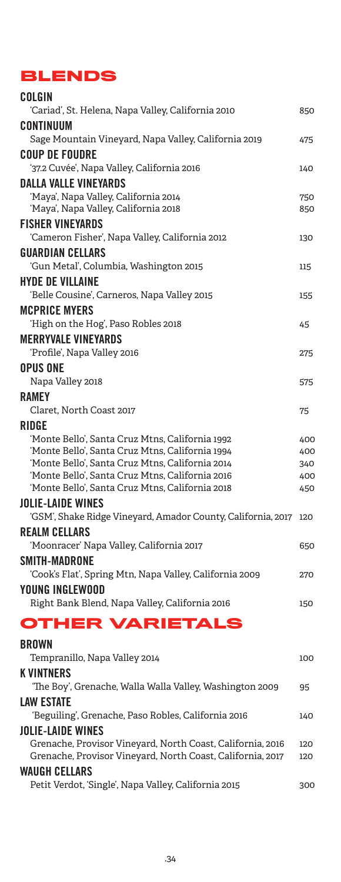## **BLENDS**

| COLGIN                                                                                   |     |
|------------------------------------------------------------------------------------------|-----|
| 'Cariad', St. Helena, Napa Valley, California 2010                                       | 850 |
| CONTINUUM                                                                                |     |
| Sage Mountain Vineyard, Napa Valley, California 2019                                     | 475 |
| <b>COUP DE FOUDRE</b>                                                                    |     |
| '37.2 Cuvée', Napa Valley, California 2016                                               | 140 |
| <b>DALLA VALLE VINEYARDS</b>                                                             |     |
| 'Maya', Napa Valley, California 2014                                                     | 750 |
| 'Maya', Napa Valley, California 2018                                                     | 850 |
| <b>FISHER VINEYARDS</b><br>'Cameron Fisher', Napa Valley, California 2012                |     |
|                                                                                          | 130 |
| <b>GUARDIAN CELLARS</b>                                                                  |     |
| 'Gun Metal', Columbia, Washington 2015                                                   | 115 |
| <b>HYDE DE VILLAINE</b><br>'Belle Cousine', Carneros, Napa Valley 2015                   |     |
| <b>MCPRICE MYERS</b>                                                                     | 155 |
| 'High on the Hog', Paso Robles 2018                                                      | 45  |
| <b>MERRYVALE VINEYARDS</b>                                                               |     |
| 'Profile', Napa Valley 2016                                                              | 275 |
| <b>OPUS ONE</b>                                                                          |     |
| Napa Valley 2018                                                                         | 575 |
| <b>RAMEY</b>                                                                             |     |
| Claret, North Coast 2017                                                                 | 75  |
| <b>RIDGE</b>                                                                             |     |
| 'Monte Bello', Santa Cruz Mtns, California 1992                                          | 400 |
| 'Monte Bello', Santa Cruz Mtns, California 1994                                          | 400 |
| 'Monte Bello', Santa Cruz Mtns, California 2014                                          | 340 |
| 'Monte Bello', Santa Cruz Mtns, California 2016                                          | 400 |
| 'Monte Bello', Santa Cruz Mtns, California 2018                                          | 450 |
| <b>JOLIE-LAIDE WINES</b><br>'GSM', Shake Ridge Vineyard, Amador County, California, 2017 | 120 |
|                                                                                          |     |
| <b>REALM CELLARS</b><br>'Moonracer' Napa Valley, California 2017                         | 650 |
|                                                                                          |     |
| SMITH-MADRONE<br>'Cook's Flat', Spring Mtn, Napa Valley, California 2009                 | 270 |
| YOUNG INGLEWOOD                                                                          |     |
| Right Bank Blend, Napa Valley, California 2016                                           | 150 |
|                                                                                          |     |
| <b>OTHER VARIETALS</b>                                                                   |     |
| <b>BROWN</b>                                                                             |     |
| Tempranillo, Napa Valley 2014                                                            | 100 |
| <b>K VINTNERS</b>                                                                        |     |
| 'The Boy', Grenache, Walla Walla Valley, Washington 2009                                 | 95  |
| <b>LAW ESTATE</b>                                                                        |     |
| 'Beguiling', Grenache, Paso Robles, California 2016                                      | 140 |
| <b>JOLIE-LAIDE WINES</b>                                                                 |     |
| Grenache, Provisor Vineyard, North Coast, California, 2016                               | 120 |
| Grenache, Provisor Vineyard, North Coast, California, 2017                               | 120 |
| <b><i>WAUGH CELLARS</i></b>                                                              |     |
| Petit Verdot, 'Single', Napa Valley, California 2015                                     | 300 |
|                                                                                          |     |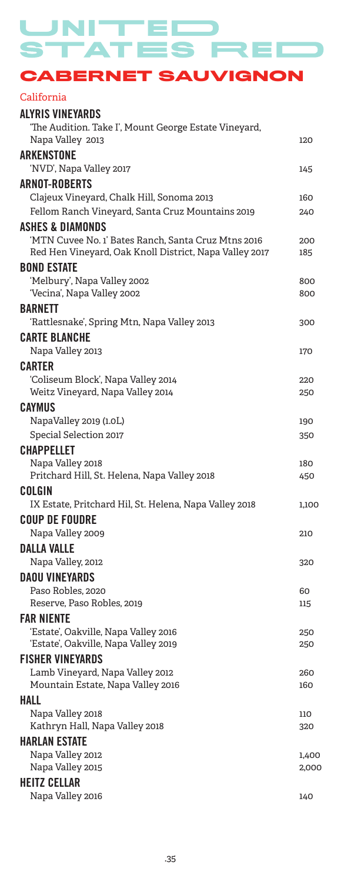STATES RE т

UNITED

**CABERNET SAUVIGNON**

#### California

| <b>ALYRIS VINEYARDS</b>                                                |            |
|------------------------------------------------------------------------|------------|
| 'The Audition. Take I', Mount George Estate Vineyard,                  |            |
| Napa Valley 2013                                                       | 120        |
| <b>ARKENSTONE</b>                                                      |            |
| 'NVD', Napa Valley 2017                                                | 145        |
| <b>ARNOT-ROBERTS</b>                                                   |            |
| Clajeux Vineyard, Chalk Hill, Sonoma 2013                              | 160        |
| Fellom Ranch Vineyard, Santa Cruz Mountains 2019                       | 240        |
| <b>ASHES &amp; DIAMONDS</b>                                            |            |
| 'MTN Cuvee No. 1' Bates Ranch, Santa Cruz Mtns 2016                    | 200        |
| Red Hen Vineyard, Oak Knoll District, Napa Valley 2017                 | 185        |
| <b>BOND ESTATE</b>                                                     |            |
| 'Melbury', Napa Valley 2002                                            | 800        |
| 'Vecina', Napa Valley 2002                                             | 800        |
| <b>BARNETT</b>                                                         |            |
| 'Rattlesnake', Spring Mtn, Napa Valley 2013                            | 300        |
| <b>CARTE BLANCHE</b>                                                   |            |
| Napa Valley 2013                                                       | 170        |
| <b>CARTER</b>                                                          |            |
| 'Coliseum Block', Napa Valley 2014<br>Weitz Vineyard, Napa Valley 2014 | 220        |
|                                                                        | 250        |
| CAYMUS                                                                 |            |
| NapaValley 2019 (1.0L)<br>Special Selection 2017                       | 190        |
|                                                                        | 350        |
| <b>CHAPPELLET</b>                                                      |            |
| Napa Valley 2018<br>Pritchard Hill, St. Helena, Napa Valley 2018       | 180<br>450 |
| COLGIN                                                                 |            |
| IX Estate, Pritchard Hil, St. Helena, Napa Valley 2018                 | 1,100      |
| <b>COUP DE FOUDRE</b>                                                  |            |
| Napa Valley 2009                                                       | 210        |
| DALLA VALLE                                                            |            |
| Napa Valley, 2012                                                      | 320        |
| <b>DAOU VINEYARDS</b>                                                  |            |
| Paso Robles, 2020                                                      | 60         |
| Reserve, Paso Robles, 2019                                             | 115        |
| <b>FAR NIENTE</b>                                                      |            |
| 'Estate', Oakville, Napa Valley 2016                                   | 250        |
| 'Estate', Oakville, Napa Valley 2019                                   | 250        |
| <b>FISHER VINEYARDS</b>                                                |            |
| Lamb Vineyard, Napa Valley 2012                                        | 260        |
| Mountain Estate, Napa Valley 2016                                      | 160        |
| <b>HALL</b>                                                            |            |
| Napa Valley 2018                                                       | 110        |
| Kathryn Hall, Napa Valley 2018                                         | 320        |
| <b>HARLAN ESTATE</b>                                                   |            |
| Napa Valley 2012                                                       | 1,400      |
| Napa Valley 2015                                                       | 2,000      |
| <b>HEITZ CELLAR</b>                                                    |            |
| Napa Valley 2016                                                       | 140        |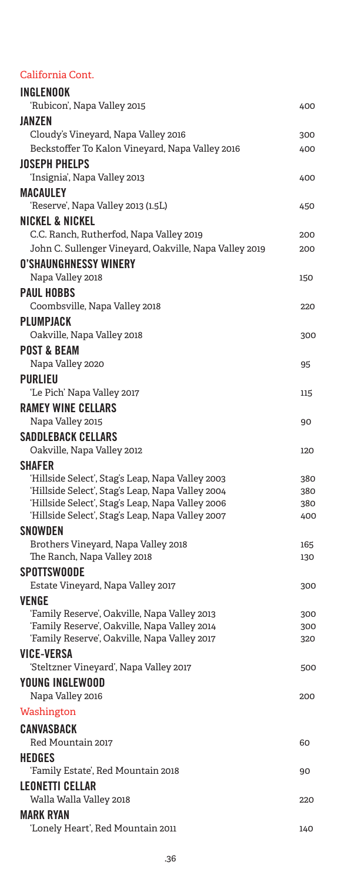#### California Cont.

| <b>INGLENOOK</b>                                                  |     |
|-------------------------------------------------------------------|-----|
| 'Rubicon', Napa Valley 2015                                       | 400 |
| <b>JANZEN</b>                                                     |     |
| Cloudy's Vineyard, Napa Valley 2016                               | 300 |
| Beckstoffer To Kalon Vineyard, Napa Valley 2016                   | 400 |
| <b>JOSEPH PHELPS</b>                                              |     |
| ʻInsignia', Napa Valley 2013                                      | 400 |
| MACAULEY                                                          |     |
| 'Reserve', Napa Valley 2013 (1.5L)                                | 450 |
|                                                                   |     |
| <b>NICKEL &amp; NICKEL</b>                                        |     |
| C.C. Ranch, Rutherfod, Napa Valley 2019                           | 200 |
| John C. Sullenger Vineyard, Oakville, Napa Valley 2019            | 200 |
| <b>O'SHAUNGHNESSY WINERY</b>                                      |     |
| Napa Valley 2018                                                  | 150 |
| <b>PAUL HOBBS</b>                                                 |     |
| Coombsville, Napa Valley 2018                                     | 220 |
| PLUMPJACK                                                         |     |
| Oakville, Napa Valley 2018                                        | 300 |
| <b>POST &amp; BEAM</b>                                            |     |
| Napa Valley 2020                                                  | 95  |
| <b>PURLIEU</b>                                                    |     |
| 'Le Pich' Napa Valley 2017                                        | 115 |
| <b>RAMEY WINE CELLARS</b>                                         |     |
| Napa Valley 2015                                                  | 90  |
| <b>SADDLEBACK CELLARS</b>                                         |     |
| Oakville, Napa Valley 2012                                        | 120 |
|                                                                   |     |
| <b>SHAFER</b><br>'Hillside Select', Stag's Leap, Napa Valley 2003 | 380 |
| 'Hillside Select', Stag's Leap, Napa Valley 2004                  | 380 |
| 'Hillside Select', Stag's Leap, Napa Valley 2006                  | 380 |
| 'Hillside Select', Stag's Leap, Napa Valley 2007                  | 400 |
| <b>SNOWDEN</b>                                                    |     |
| Brothers Vineyard, Napa Valley 2018                               | 165 |
| The Ranch, Napa Valley 2018                                       | 130 |
| <b>SPOTTSWOODE</b>                                                |     |
| Estate Vineyard, Napa Valley 2017                                 | 300 |
| VENGE                                                             |     |
| 'Family Reserve', Oakville, Napa Valley 2013                      | 300 |
| 'Family Reserve', Oakville, Napa Valley 2014                      | 300 |
| 'Family Reserve', Oakville, Napa Valley 2017                      | 320 |
| <b>VICE-VERSA</b>                                                 |     |
| 'Steltzner Vineyard', Napa Valley 2017                            | 500 |
| <b>YOUNG INGLEWOOD</b>                                            |     |
| Napa Valley 2016                                                  | 200 |
|                                                                   |     |
| Washington                                                        |     |
| <b>CANVASBACK</b>                                                 |     |
| Red Mountain 2017                                                 | 60  |
| <b>HEDGES</b>                                                     |     |
| 'Family Estate', Red Mountain 2018                                | 90  |
| <b>LEONETTI CELLAR</b>                                            |     |
| Walla Walla Valley 2018                                           | 220 |
| <b>MARK RYAN</b>                                                  |     |
| 'Lonely Heart', Red Mountain 2011                                 | 140 |
|                                                                   |     |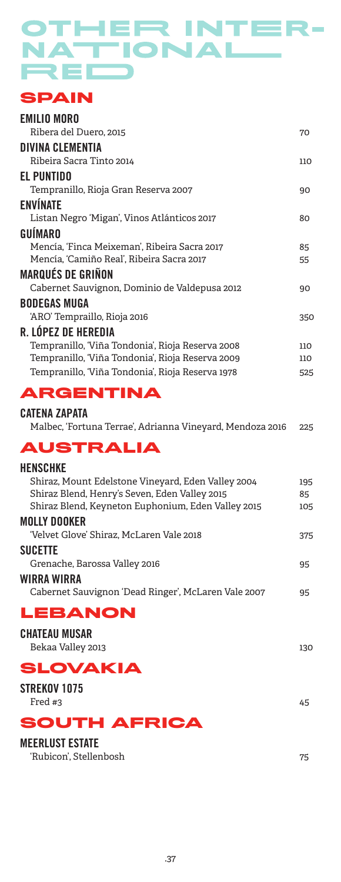## OTHER INTER-NATIONAL REI

## **SPAIN**

| <b>EMILIO MORO</b>                               |     |
|--------------------------------------------------|-----|
| Ribera del Duero, 2015                           | 70  |
| DIVINA CLEMENTIA                                 |     |
| Ribeira Sacra Tinto 2014                         | 110 |
| EL PUNTIDO                                       |     |
| Tempranillo, Rioja Gran Reserva 2007             | 90  |
| <b>ENVÍNATE</b>                                  |     |
| Listan Negro 'Migan', Vinos Atlánticos 2017      | 80  |
| <b>GUÍMARO</b>                                   |     |
| Mencía, 'Finca Meixeman', Ribeira Sacra 2017     | 85  |
| Mencía, 'Camiño Real', Ribeira Sacra 2017        | 55  |
| <b>MARQUÉS DE GRIÑON</b>                         |     |
| Cabernet Sauvignon, Dominio de Valdepusa 2012    | 90  |
| <b>BODEGAS MUGA</b>                              |     |
| 'ARO' Tempraillo, Rioja 2016                     | 350 |
| R. LÓPEZ DE HEREDIA                              |     |
| Tempranillo, 'Viña Tondonia', Rioja Reserva 2008 | 110 |
| Tempranillo, 'Viña Tondonia', Rioja Reserva 2009 | 110 |
| Tempranillo, 'Viña Tondonia', Rioja Reserva 1978 | 525 |

## **ARGENTINA**

#### CATENA ZAPATA

## **AUSTRALIA**

| <b>HENSCHKE</b><br>Shiraz, Mount Edelstone Vineyard, Eden Valley 2004<br>Shiraz Blend, Henry's Seven, Eden Valley 2015<br>Shiraz Blend, Keyneton Euphonium, Eden Valley 2015 | 195<br>85<br>105 |
|------------------------------------------------------------------------------------------------------------------------------------------------------------------------------|------------------|
| <b>MOLLY DOOKER</b>                                                                                                                                                          |                  |
| 'Velvet Glove' Shiraz. McLaren Vale 2018                                                                                                                                     | 375              |
| <b>SUCETTE</b>                                                                                                                                                               |                  |
| Grenache, Barossa Valley 2016                                                                                                                                                | 95               |
| WIRRA WIRRA                                                                                                                                                                  |                  |
| Cabernet Sauvignon 'Dead Ringer', McLaren Vale 2007                                                                                                                          | 95               |
| LEBANON                                                                                                                                                                      |                  |
| <b>CHATEAU MUSAR</b><br>Bekaa Valley 2013                                                                                                                                    | 130              |

## **SLOVAKIA**

| STREKOV 1075 |    |
|--------------|----|
| Fred $#3$    | 45 |

## **SOUTH AFRICA**

#### MEERLUST ESTATE

'Rubicon', Stellenbosh 75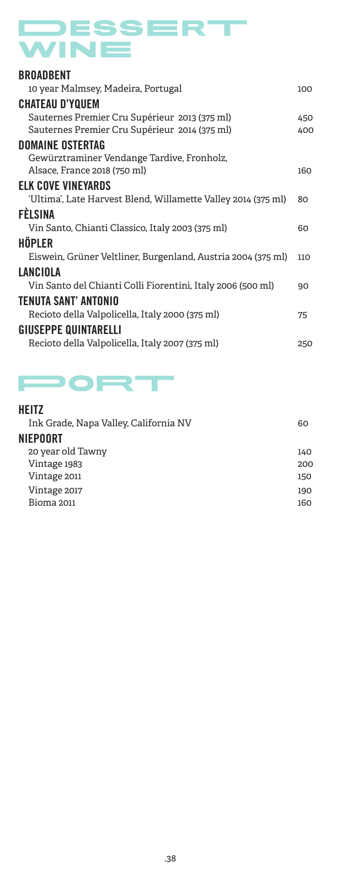# DESSERT WINE

| <b>BROADBENT</b>                                                                               |            |
|------------------------------------------------------------------------------------------------|------------|
| 10 year Malmsey, Madeira, Portugal                                                             | 100        |
| <b>CHATEAU D'YQUEM</b>                                                                         |            |
| Sauternes Premier Cru Supérieur 2013 (375 ml)<br>Sauternes Premier Cru Supérieur 2014 (375 ml) | 450<br>400 |
| <b>DOMAINE OSTERTAG</b>                                                                        |            |
| Gewürztraminer Vendange Tardive, Fronholz,<br>Alsace, France 2018 (750 ml)                     | 160        |
| <b>ELK COVE VINEYARDS</b>                                                                      |            |
| 'Ultima', Late Harvest Blend, Willamette Valley 2014 (375 ml)                                  | 80         |
| <b>FÈLSINA</b>                                                                                 |            |
| Vin Santo, Chianti Classico, Italy 2003 (375 ml)                                               | 60         |
| HÖPLER                                                                                         |            |
| Eiswein, Grüner Veltliner, Burgenland, Austria 2004 (375 ml)                                   | 110        |
| <b>LANCIOLA</b>                                                                                |            |
| Vin Santo del Chianti Colli Fiorentini, Italy 2006 (500 ml)                                    | 90         |
| TENUTA SANT' ANTONIO                                                                           |            |
| Recioto della Valpolicella, Italy 2000 (375 ml)                                                | 75         |
| <b>GIUSEPPE QUINTARELLI</b>                                                                    |            |
| Recioto della Valpolicella, Italy 2007 (375 ml)                                                | 250        |
|                                                                                                |            |

## PORT

#### HEITZ

| Ink Grade, Napa Valley, California NV | 60  |
|---------------------------------------|-----|
| NIEPOORT                              |     |
| 20 year old Tawny                     | 140 |
| Vintage 1983                          | 200 |
| Vintage 2011                          | 150 |
| Vintage 2017                          | 190 |
| <b>Bioma 2011</b>                     | 160 |
|                                       |     |